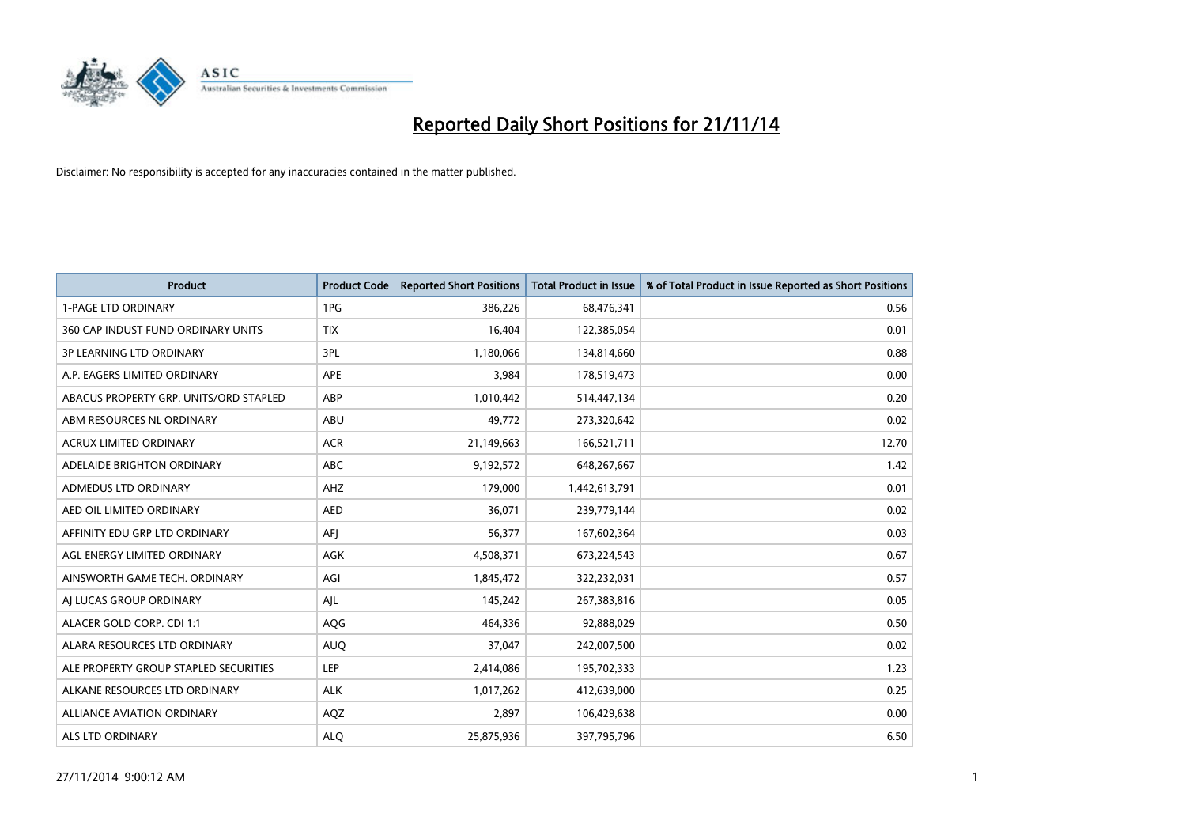

| Product                                | <b>Product Code</b> | <b>Reported Short Positions</b> | <b>Total Product in Issue</b> | % of Total Product in Issue Reported as Short Positions |
|----------------------------------------|---------------------|---------------------------------|-------------------------------|---------------------------------------------------------|
| <b>1-PAGE LTD ORDINARY</b>             | 1PG                 | 386,226                         | 68,476,341                    | 0.56                                                    |
| 360 CAP INDUST FUND ORDINARY UNITS     | <b>TIX</b>          | 16,404                          | 122,385,054                   | 0.01                                                    |
| <b>3P LEARNING LTD ORDINARY</b>        | 3PL                 | 1,180,066                       | 134,814,660                   | 0.88                                                    |
| A.P. EAGERS LIMITED ORDINARY           | APE                 | 3,984                           | 178,519,473                   | 0.00                                                    |
| ABACUS PROPERTY GRP. UNITS/ORD STAPLED | ABP                 | 1,010,442                       | 514,447,134                   | 0.20                                                    |
| ABM RESOURCES NL ORDINARY              | ABU                 | 49,772                          | 273,320,642                   | 0.02                                                    |
| <b>ACRUX LIMITED ORDINARY</b>          | <b>ACR</b>          | 21,149,663                      | 166,521,711                   | 12.70                                                   |
| ADELAIDE BRIGHTON ORDINARY             | <b>ABC</b>          | 9,192,572                       | 648,267,667                   | 1.42                                                    |
| ADMEDUS LTD ORDINARY                   | AHZ                 | 179,000                         | 1,442,613,791                 | 0.01                                                    |
| AED OIL LIMITED ORDINARY               | <b>AED</b>          | 36,071                          | 239,779,144                   | 0.02                                                    |
| AFFINITY EDU GRP LTD ORDINARY          | AFJ                 | 56,377                          | 167,602,364                   | 0.03                                                    |
| AGL ENERGY LIMITED ORDINARY            | AGK                 | 4,508,371                       | 673,224,543                   | 0.67                                                    |
| AINSWORTH GAME TECH. ORDINARY          | AGI                 | 1,845,472                       | 322,232,031                   | 0.57                                                    |
| AI LUCAS GROUP ORDINARY                | AJL                 | 145,242                         | 267,383,816                   | 0.05                                                    |
| ALACER GOLD CORP. CDI 1:1              | AQG                 | 464,336                         | 92,888,029                    | 0.50                                                    |
| ALARA RESOURCES LTD ORDINARY           | <b>AUQ</b>          | 37,047                          | 242,007,500                   | 0.02                                                    |
| ALE PROPERTY GROUP STAPLED SECURITIES  | LEP                 | 2,414,086                       | 195,702,333                   | 1.23                                                    |
| ALKANE RESOURCES LTD ORDINARY          | <b>ALK</b>          | 1,017,262                       | 412,639,000                   | 0.25                                                    |
| <b>ALLIANCE AVIATION ORDINARY</b>      | AQZ                 | 2,897                           | 106,429,638                   | 0.00                                                    |
| <b>ALS LTD ORDINARY</b>                | <b>ALO</b>          | 25,875,936                      | 397,795,796                   | 6.50                                                    |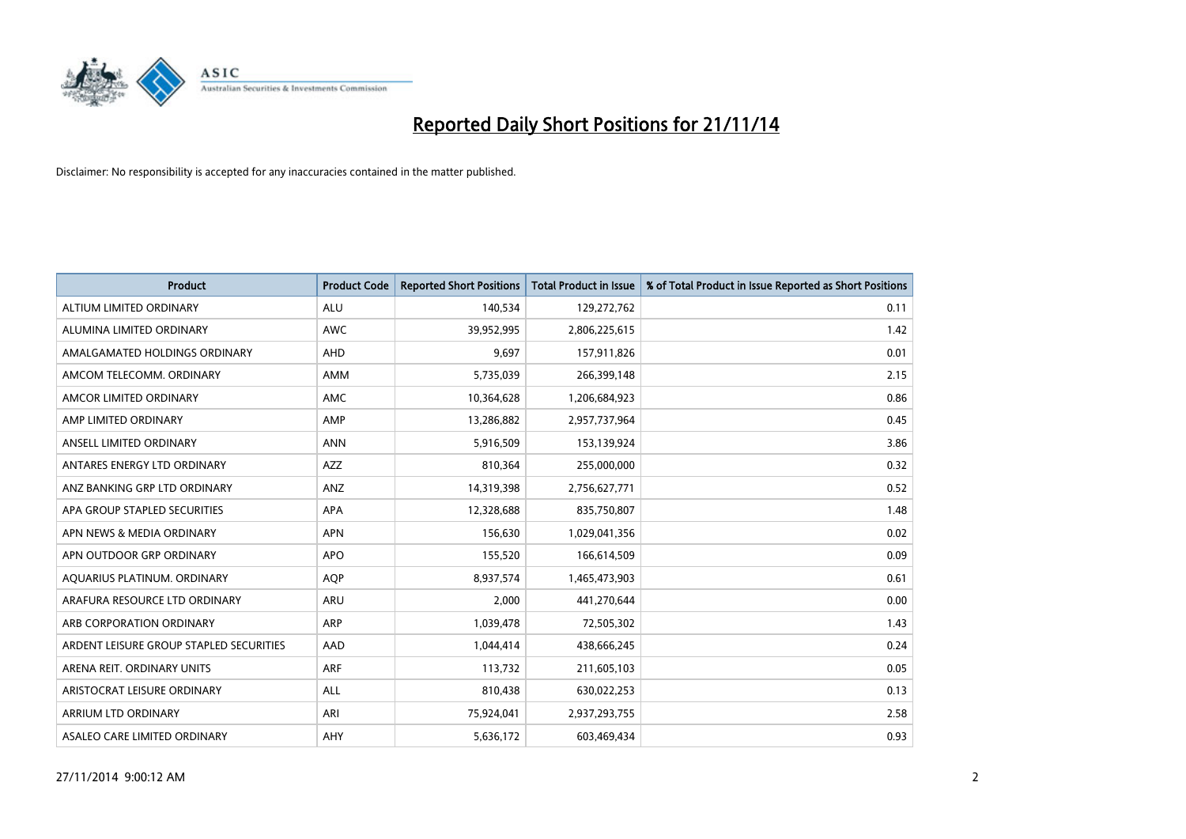

| <b>Product</b>                          | <b>Product Code</b> | <b>Reported Short Positions</b> | <b>Total Product in Issue</b> | % of Total Product in Issue Reported as Short Positions |
|-----------------------------------------|---------------------|---------------------------------|-------------------------------|---------------------------------------------------------|
| ALTIUM LIMITED ORDINARY                 | <b>ALU</b>          | 140,534                         | 129,272,762                   | 0.11                                                    |
| ALUMINA LIMITED ORDINARY                | <b>AWC</b>          | 39,952,995                      | 2,806,225,615                 | 1.42                                                    |
| AMALGAMATED HOLDINGS ORDINARY           | AHD                 | 9,697                           | 157,911,826                   | 0.01                                                    |
| AMCOM TELECOMM, ORDINARY                | AMM                 | 5,735,039                       | 266,399,148                   | 2.15                                                    |
| AMCOR LIMITED ORDINARY                  | AMC                 | 10,364,628                      | 1,206,684,923                 | 0.86                                                    |
| AMP LIMITED ORDINARY                    | AMP                 | 13,286,882                      | 2,957,737,964                 | 0.45                                                    |
| ANSELL LIMITED ORDINARY                 | <b>ANN</b>          | 5,916,509                       | 153,139,924                   | 3.86                                                    |
| ANTARES ENERGY LTD ORDINARY             | AZZ                 | 810,364                         | 255,000,000                   | 0.32                                                    |
| ANZ BANKING GRP LTD ORDINARY            | ANZ                 | 14,319,398                      | 2,756,627,771                 | 0.52                                                    |
| APA GROUP STAPLED SECURITIES            | <b>APA</b>          | 12,328,688                      | 835,750,807                   | 1.48                                                    |
| APN NEWS & MEDIA ORDINARY               | <b>APN</b>          | 156,630                         | 1,029,041,356                 | 0.02                                                    |
| APN OUTDOOR GRP ORDINARY                | <b>APO</b>          | 155,520                         | 166,614,509                   | 0.09                                                    |
| AQUARIUS PLATINUM. ORDINARY             | <b>AOP</b>          | 8,937,574                       | 1,465,473,903                 | 0.61                                                    |
| ARAFURA RESOURCE LTD ORDINARY           | <b>ARU</b>          | 2,000                           | 441,270,644                   | 0.00                                                    |
| ARB CORPORATION ORDINARY                | ARP                 | 1,039,478                       | 72,505,302                    | 1.43                                                    |
| ARDENT LEISURE GROUP STAPLED SECURITIES | AAD                 | 1,044,414                       | 438,666,245                   | 0.24                                                    |
| ARENA REIT. ORDINARY UNITS              | <b>ARF</b>          | 113,732                         | 211,605,103                   | 0.05                                                    |
| ARISTOCRAT LEISURE ORDINARY             | ALL                 | 810,438                         | 630,022,253                   | 0.13                                                    |
| ARRIUM LTD ORDINARY                     | ARI                 | 75,924,041                      | 2,937,293,755                 | 2.58                                                    |
| ASALEO CARE LIMITED ORDINARY            | AHY                 | 5,636,172                       | 603,469,434                   | 0.93                                                    |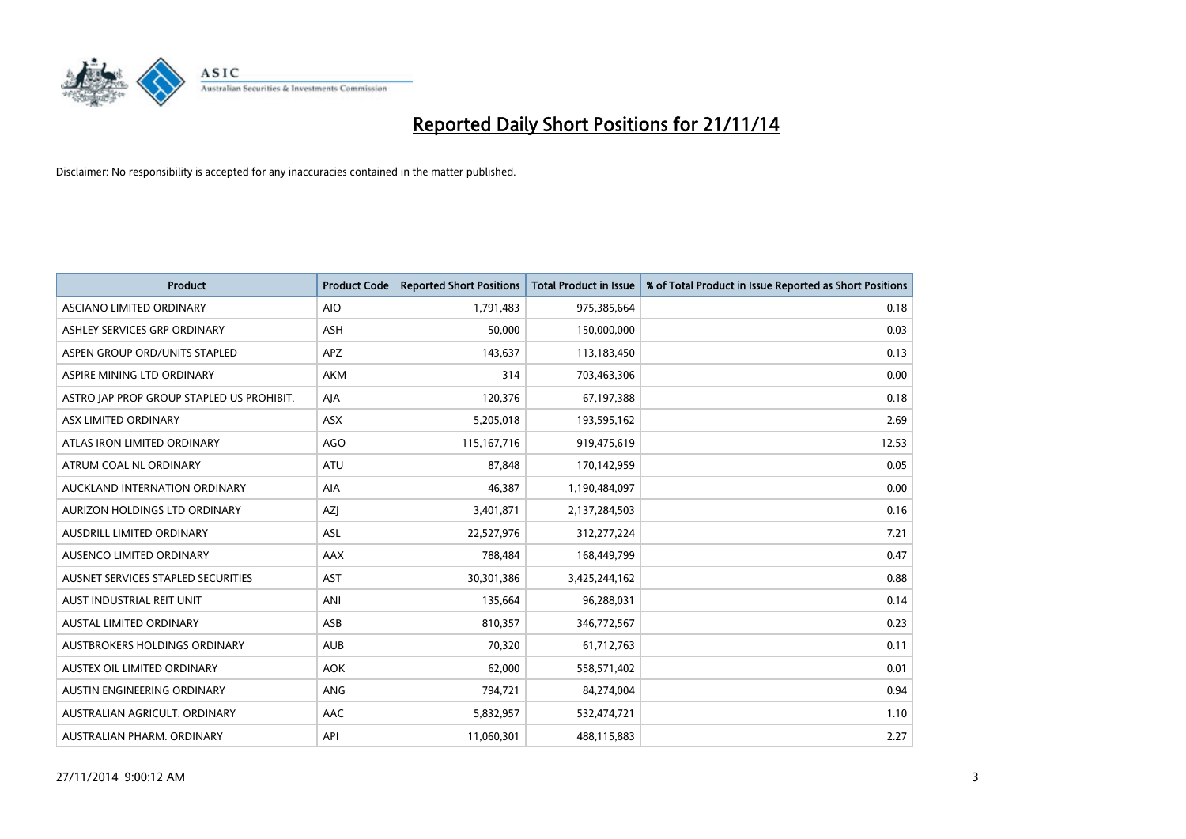

| <b>Product</b>                            | <b>Product Code</b> | <b>Reported Short Positions</b> | <b>Total Product in Issue</b> | % of Total Product in Issue Reported as Short Positions |
|-------------------------------------------|---------------------|---------------------------------|-------------------------------|---------------------------------------------------------|
| ASCIANO LIMITED ORDINARY                  | <b>AIO</b>          | 1,791,483                       | 975,385,664                   | 0.18                                                    |
| ASHLEY SERVICES GRP ORDINARY              | <b>ASH</b>          | 50,000                          | 150,000,000                   | 0.03                                                    |
| ASPEN GROUP ORD/UNITS STAPLED             | APZ                 | 143,637                         | 113,183,450                   | 0.13                                                    |
| ASPIRE MINING LTD ORDINARY                | <b>AKM</b>          | 314                             | 703,463,306                   | 0.00                                                    |
| ASTRO JAP PROP GROUP STAPLED US PROHIBIT. | AJA                 | 120,376                         | 67,197,388                    | 0.18                                                    |
| ASX LIMITED ORDINARY                      | ASX                 | 5,205,018                       | 193,595,162                   | 2.69                                                    |
| ATLAS IRON LIMITED ORDINARY               | <b>AGO</b>          | 115, 167, 716                   | 919,475,619                   | 12.53                                                   |
| ATRUM COAL NL ORDINARY                    | <b>ATU</b>          | 87,848                          | 170,142,959                   | 0.05                                                    |
| AUCKLAND INTERNATION ORDINARY             | AIA                 | 46,387                          | 1,190,484,097                 | 0.00                                                    |
| AURIZON HOLDINGS LTD ORDINARY             | AZJ                 | 3,401,871                       | 2,137,284,503                 | 0.16                                                    |
| AUSDRILL LIMITED ORDINARY                 | ASL                 | 22,527,976                      | 312,277,224                   | 7.21                                                    |
| AUSENCO LIMITED ORDINARY                  | AAX                 | 788,484                         | 168,449,799                   | 0.47                                                    |
| AUSNET SERVICES STAPLED SECURITIES        | <b>AST</b>          | 30,301,386                      | 3,425,244,162                 | 0.88                                                    |
| AUST INDUSTRIAL REIT UNIT                 | ANI                 | 135,664                         | 96,288,031                    | 0.14                                                    |
| <b>AUSTAL LIMITED ORDINARY</b>            | ASB                 | 810,357                         | 346,772,567                   | 0.23                                                    |
| AUSTBROKERS HOLDINGS ORDINARY             | <b>AUB</b>          | 70,320                          | 61,712,763                    | 0.11                                                    |
| AUSTEX OIL LIMITED ORDINARY               | <b>AOK</b>          | 62,000                          | 558,571,402                   | 0.01                                                    |
| AUSTIN ENGINEERING ORDINARY               | ANG                 | 794,721                         | 84,274,004                    | 0.94                                                    |
| AUSTRALIAN AGRICULT, ORDINARY             | AAC                 | 5,832,957                       | 532,474,721                   | 1.10                                                    |
| AUSTRALIAN PHARM. ORDINARY                | API                 | 11,060,301                      | 488,115,883                   | 2.27                                                    |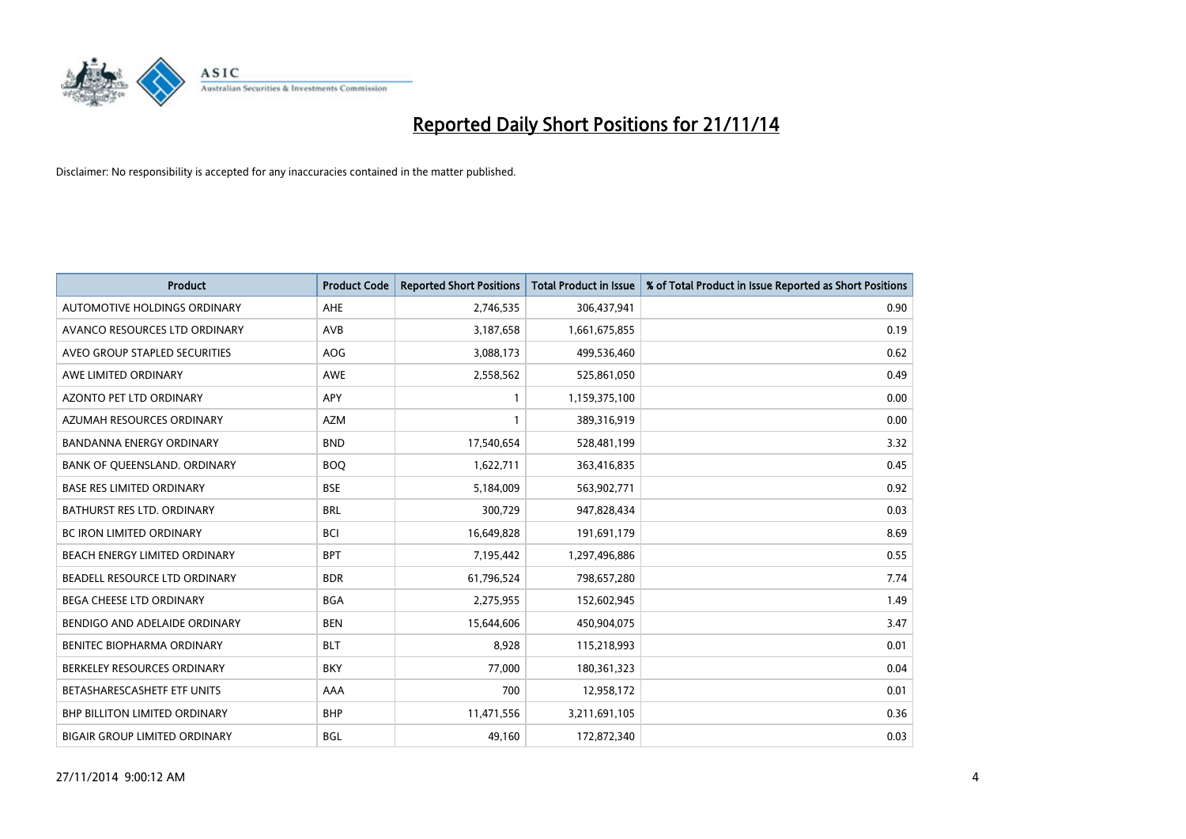

| <b>Product</b>                       | <b>Product Code</b> | <b>Reported Short Positions</b> | <b>Total Product in Issue</b> | % of Total Product in Issue Reported as Short Positions |
|--------------------------------------|---------------------|---------------------------------|-------------------------------|---------------------------------------------------------|
| <b>AUTOMOTIVE HOLDINGS ORDINARY</b>  | AHE                 | 2,746,535                       | 306,437,941                   | 0.90                                                    |
| AVANCO RESOURCES LTD ORDINARY        | <b>AVB</b>          | 3,187,658                       | 1,661,675,855                 | 0.19                                                    |
| AVEO GROUP STAPLED SECURITIES        | AOG                 | 3,088,173                       | 499,536,460                   | 0.62                                                    |
| AWE LIMITED ORDINARY                 | AWE                 | 2,558,562                       | 525,861,050                   | 0.49                                                    |
| <b>AZONTO PET LTD ORDINARY</b>       | <b>APY</b>          | 1                               | 1,159,375,100                 | 0.00                                                    |
| AZUMAH RESOURCES ORDINARY            | <b>AZM</b>          |                                 | 389,316,919                   | 0.00                                                    |
| <b>BANDANNA ENERGY ORDINARY</b>      | <b>BND</b>          | 17,540,654                      | 528,481,199                   | 3.32                                                    |
| BANK OF QUEENSLAND. ORDINARY         | <b>BOQ</b>          | 1,622,711                       | 363,416,835                   | 0.45                                                    |
| <b>BASE RES LIMITED ORDINARY</b>     | <b>BSE</b>          | 5,184,009                       | 563,902,771                   | 0.92                                                    |
| <b>BATHURST RES LTD. ORDINARY</b>    | <b>BRL</b>          | 300,729                         | 947,828,434                   | 0.03                                                    |
| BC IRON LIMITED ORDINARY             | <b>BCI</b>          | 16,649,828                      | 191,691,179                   | 8.69                                                    |
| BEACH ENERGY LIMITED ORDINARY        | <b>BPT</b>          | 7,195,442                       | 1,297,496,886                 | 0.55                                                    |
| BEADELL RESOURCE LTD ORDINARY        | <b>BDR</b>          | 61,796,524                      | 798,657,280                   | 7.74                                                    |
| <b>BEGA CHEESE LTD ORDINARY</b>      | <b>BGA</b>          | 2,275,955                       | 152,602,945                   | 1.49                                                    |
| BENDIGO AND ADELAIDE ORDINARY        | <b>BEN</b>          | 15,644,606                      | 450,904,075                   | 3.47                                                    |
| BENITEC BIOPHARMA ORDINARY           | <b>BLT</b>          | 8,928                           | 115,218,993                   | 0.01                                                    |
| BERKELEY RESOURCES ORDINARY          | <b>BKY</b>          | 77,000                          | 180,361,323                   | 0.04                                                    |
| BETASHARESCASHETF ETF UNITS          | AAA                 | 700                             | 12,958,172                    | 0.01                                                    |
| <b>BHP BILLITON LIMITED ORDINARY</b> | <b>BHP</b>          | 11,471,556                      | 3,211,691,105                 | 0.36                                                    |
| <b>BIGAIR GROUP LIMITED ORDINARY</b> | BGL                 | 49,160                          | 172,872,340                   | 0.03                                                    |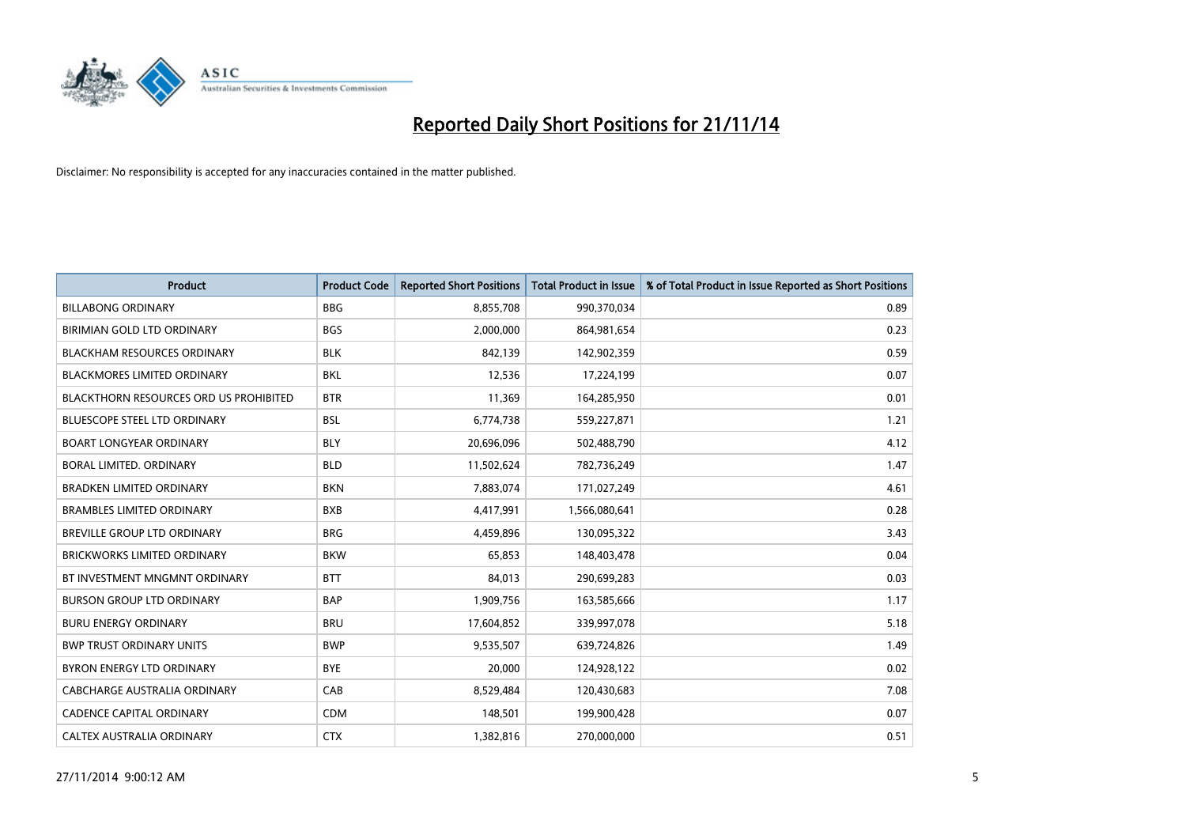

| Product                                       | <b>Product Code</b> | <b>Reported Short Positions</b> | <b>Total Product in Issue</b> | % of Total Product in Issue Reported as Short Positions |
|-----------------------------------------------|---------------------|---------------------------------|-------------------------------|---------------------------------------------------------|
| <b>BILLABONG ORDINARY</b>                     | <b>BBG</b>          | 8,855,708                       | 990,370,034                   | 0.89                                                    |
| BIRIMIAN GOLD LTD ORDINARY                    | <b>BGS</b>          | 2,000,000                       | 864,981,654                   | 0.23                                                    |
| <b>BLACKHAM RESOURCES ORDINARY</b>            | <b>BLK</b>          | 842,139                         | 142,902,359                   | 0.59                                                    |
| BLACKMORES LIMITED ORDINARY                   | <b>BKL</b>          | 12,536                          | 17,224,199                    | 0.07                                                    |
| <b>BLACKTHORN RESOURCES ORD US PROHIBITED</b> | <b>BTR</b>          | 11,369                          | 164,285,950                   | 0.01                                                    |
| <b>BLUESCOPE STEEL LTD ORDINARY</b>           | <b>BSL</b>          | 6,774,738                       | 559,227,871                   | 1.21                                                    |
| <b>BOART LONGYEAR ORDINARY</b>                | <b>BLY</b>          | 20,696,096                      | 502,488,790                   | 4.12                                                    |
| <b>BORAL LIMITED, ORDINARY</b>                | <b>BLD</b>          | 11,502,624                      | 782,736,249                   | 1.47                                                    |
| <b>BRADKEN LIMITED ORDINARY</b>               | <b>BKN</b>          | 7,883,074                       | 171,027,249                   | 4.61                                                    |
| <b>BRAMBLES LIMITED ORDINARY</b>              | <b>BXB</b>          | 4,417,991                       | 1,566,080,641                 | 0.28                                                    |
| BREVILLE GROUP LTD ORDINARY                   | <b>BRG</b>          | 4,459,896                       | 130,095,322                   | 3.43                                                    |
| <b>BRICKWORKS LIMITED ORDINARY</b>            | <b>BKW</b>          | 65,853                          | 148,403,478                   | 0.04                                                    |
| BT INVESTMENT MNGMNT ORDINARY                 | <b>BTT</b>          | 84,013                          | 290,699,283                   | 0.03                                                    |
| <b>BURSON GROUP LTD ORDINARY</b>              | <b>BAP</b>          | 1,909,756                       | 163,585,666                   | 1.17                                                    |
| <b>BURU ENERGY ORDINARY</b>                   | <b>BRU</b>          | 17,604,852                      | 339,997,078                   | 5.18                                                    |
| <b>BWP TRUST ORDINARY UNITS</b>               | <b>BWP</b>          | 9,535,507                       | 639,724,826                   | 1.49                                                    |
| BYRON ENERGY LTD ORDINARY                     | <b>BYE</b>          | 20,000                          | 124,928,122                   | 0.02                                                    |
| CABCHARGE AUSTRALIA ORDINARY                  | CAB                 | 8,529,484                       | 120,430,683                   | 7.08                                                    |
| <b>CADENCE CAPITAL ORDINARY</b>               | <b>CDM</b>          | 148,501                         | 199,900,428                   | 0.07                                                    |
| CALTEX AUSTRALIA ORDINARY                     | <b>CTX</b>          | 1,382,816                       | 270,000,000                   | 0.51                                                    |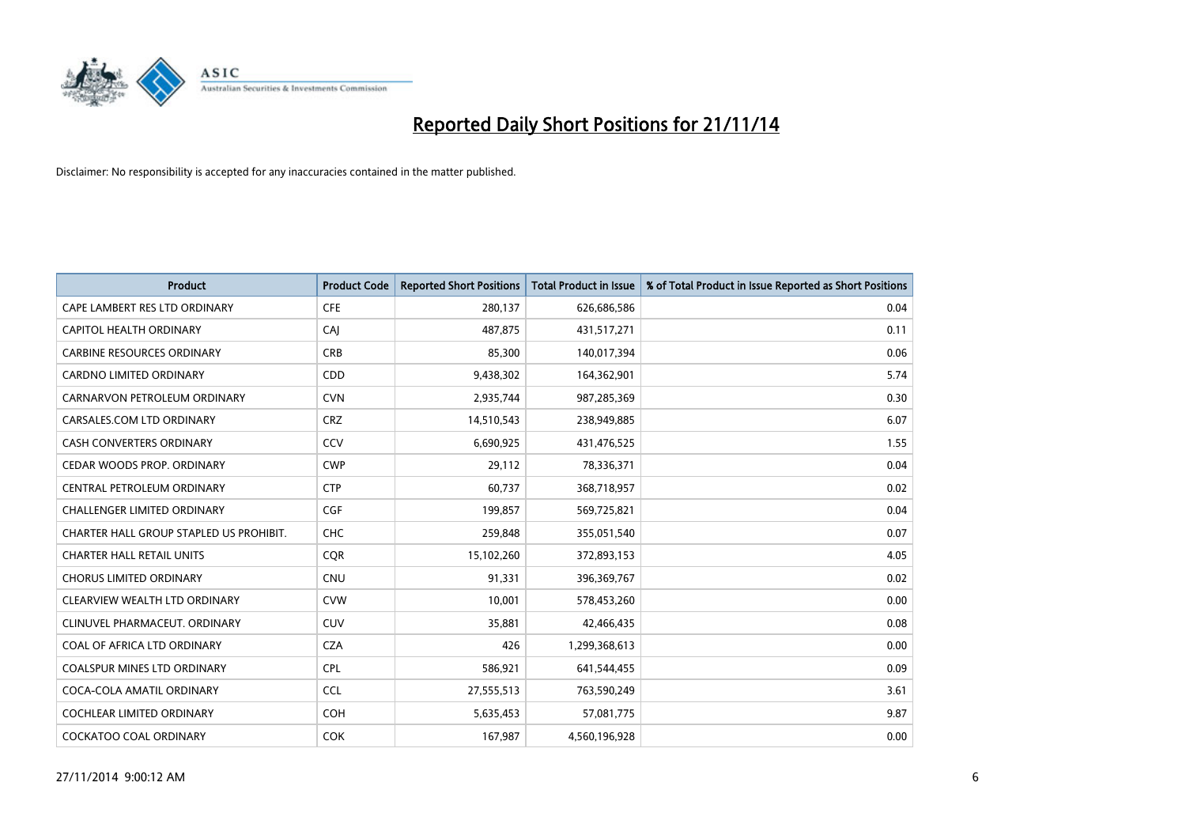

| <b>Product</b>                          | <b>Product Code</b> | <b>Reported Short Positions</b> | <b>Total Product in Issue</b> | % of Total Product in Issue Reported as Short Positions |
|-----------------------------------------|---------------------|---------------------------------|-------------------------------|---------------------------------------------------------|
| CAPE LAMBERT RES LTD ORDINARY           | <b>CFE</b>          | 280,137                         | 626,686,586                   | 0.04                                                    |
| CAPITOL HEALTH ORDINARY                 | CAI                 | 487,875                         | 431,517,271                   | 0.11                                                    |
| <b>CARBINE RESOURCES ORDINARY</b>       | <b>CRB</b>          | 85,300                          | 140,017,394                   | 0.06                                                    |
| CARDNO LIMITED ORDINARY                 | CDD                 | 9,438,302                       | 164,362,901                   | 5.74                                                    |
| CARNARVON PETROLEUM ORDINARY            | <b>CVN</b>          | 2,935,744                       | 987,285,369                   | 0.30                                                    |
| CARSALES.COM LTD ORDINARY               | <b>CRZ</b>          | 14,510,543                      | 238,949,885                   | 6.07                                                    |
| <b>CASH CONVERTERS ORDINARY</b>         | CCV                 | 6,690,925                       | 431,476,525                   | 1.55                                                    |
| CEDAR WOODS PROP. ORDINARY              | <b>CWP</b>          | 29,112                          | 78,336,371                    | 0.04                                                    |
| CENTRAL PETROLEUM ORDINARY              | <b>CTP</b>          | 60,737                          | 368,718,957                   | 0.02                                                    |
| <b>CHALLENGER LIMITED ORDINARY</b>      | <b>CGF</b>          | 199,857                         | 569,725,821                   | 0.04                                                    |
| CHARTER HALL GROUP STAPLED US PROHIBIT. | <b>CHC</b>          | 259,848                         | 355,051,540                   | 0.07                                                    |
| <b>CHARTER HALL RETAIL UNITS</b>        | <b>CQR</b>          | 15,102,260                      | 372,893,153                   | 4.05                                                    |
| <b>CHORUS LIMITED ORDINARY</b>          | <b>CNU</b>          | 91,331                          | 396,369,767                   | 0.02                                                    |
| CLEARVIEW WEALTH LTD ORDINARY           | <b>CVW</b>          | 10,001                          | 578,453,260                   | 0.00                                                    |
| CLINUVEL PHARMACEUT, ORDINARY           | <b>CUV</b>          | 35,881                          | 42,466,435                    | 0.08                                                    |
| COAL OF AFRICA LTD ORDINARY             | <b>CZA</b>          | 426                             | 1,299,368,613                 | 0.00                                                    |
| COALSPUR MINES LTD ORDINARY             | <b>CPL</b>          | 586,921                         | 641,544,455                   | 0.09                                                    |
| COCA-COLA AMATIL ORDINARY               | <b>CCL</b>          | 27,555,513                      | 763,590,249                   | 3.61                                                    |
| <b>COCHLEAR LIMITED ORDINARY</b>        | <b>COH</b>          | 5,635,453                       | 57,081,775                    | 9.87                                                    |
| <b>COCKATOO COAL ORDINARY</b>           | <b>COK</b>          | 167,987                         | 4,560,196,928                 | 0.00                                                    |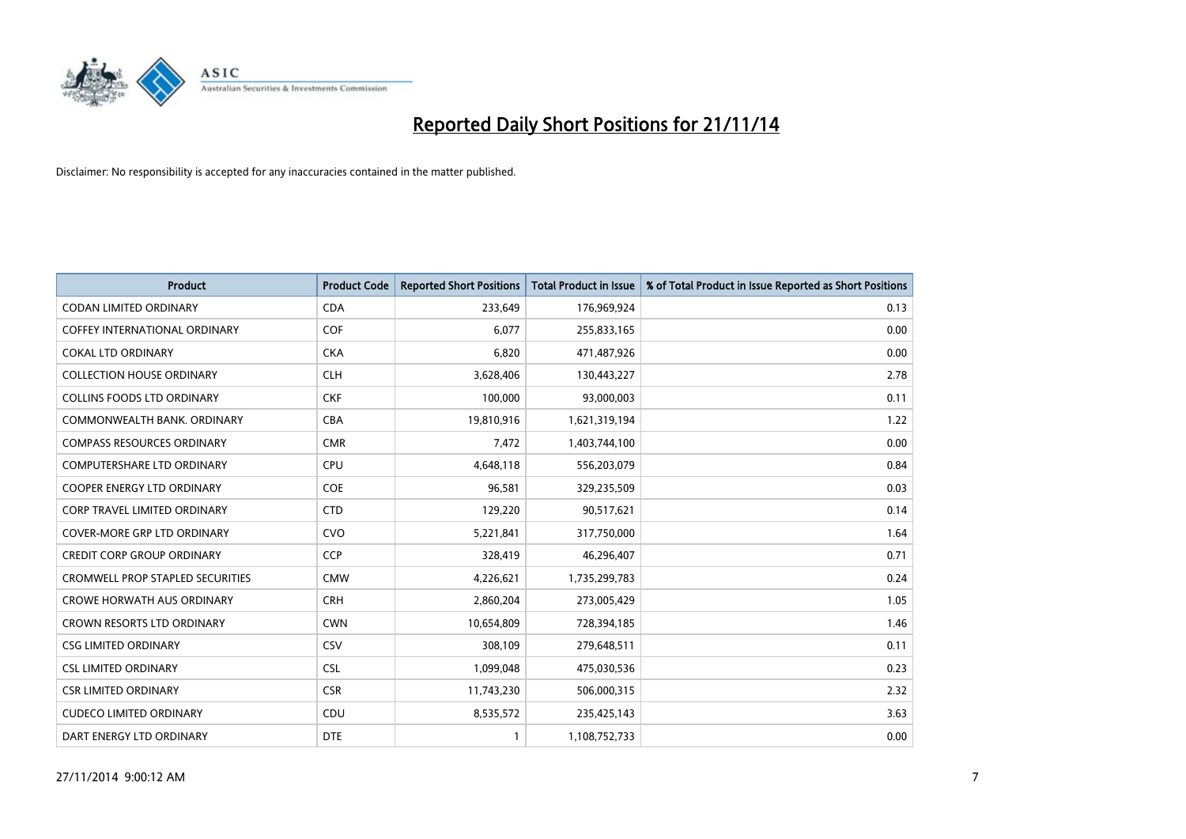

| <b>Product</b>                      | <b>Product Code</b> | <b>Reported Short Positions</b> | <b>Total Product in Issue</b> | % of Total Product in Issue Reported as Short Positions |
|-------------------------------------|---------------------|---------------------------------|-------------------------------|---------------------------------------------------------|
| <b>CODAN LIMITED ORDINARY</b>       | <b>CDA</b>          | 233,649                         | 176,969,924                   | 0.13                                                    |
| COFFEY INTERNATIONAL ORDINARY       | <b>COF</b>          | 6,077                           | 255,833,165                   | 0.00                                                    |
| <b>COKAL LTD ORDINARY</b>           | <b>CKA</b>          | 6,820                           | 471,487,926                   | 0.00                                                    |
| <b>COLLECTION HOUSE ORDINARY</b>    | <b>CLH</b>          | 3,628,406                       | 130,443,227                   | 2.78                                                    |
| <b>COLLINS FOODS LTD ORDINARY</b>   | <b>CKF</b>          | 100,000                         | 93,000,003                    | 0.11                                                    |
| COMMONWEALTH BANK, ORDINARY         | <b>CBA</b>          | 19,810,916                      | 1,621,319,194                 | 1.22                                                    |
| <b>COMPASS RESOURCES ORDINARY</b>   | <b>CMR</b>          | 7,472                           | 1,403,744,100                 | 0.00                                                    |
| COMPUTERSHARE LTD ORDINARY          | <b>CPU</b>          | 4,648,118                       | 556,203,079                   | 0.84                                                    |
| <b>COOPER ENERGY LTD ORDINARY</b>   | <b>COE</b>          | 96,581                          | 329,235,509                   | 0.03                                                    |
| <b>CORP TRAVEL LIMITED ORDINARY</b> | <b>CTD</b>          | 129,220                         | 90,517,621                    | 0.14                                                    |
| COVER-MORE GRP LTD ORDINARY         | <b>CVO</b>          | 5,221,841                       | 317,750,000                   | 1.64                                                    |
| <b>CREDIT CORP GROUP ORDINARY</b>   | <b>CCP</b>          | 328,419                         | 46,296,407                    | 0.71                                                    |
| CROMWELL PROP STAPLED SECURITIES    | <b>CMW</b>          | 4,226,621                       | 1,735,299,783                 | 0.24                                                    |
| <b>CROWE HORWATH AUS ORDINARY</b>   | <b>CRH</b>          | 2,860,204                       | 273,005,429                   | 1.05                                                    |
| <b>CROWN RESORTS LTD ORDINARY</b>   | <b>CWN</b>          | 10,654,809                      | 728,394,185                   | 1.46                                                    |
| <b>CSG LIMITED ORDINARY</b>         | CSV                 | 308,109                         | 279,648,511                   | 0.11                                                    |
| <b>CSL LIMITED ORDINARY</b>         | <b>CSL</b>          | 1,099,048                       | 475,030,536                   | 0.23                                                    |
| <b>CSR LIMITED ORDINARY</b>         | <b>CSR</b>          | 11,743,230                      | 506,000,315                   | 2.32                                                    |
| <b>CUDECO LIMITED ORDINARY</b>      | CDU                 | 8,535,572                       | 235,425,143                   | 3.63                                                    |
| DART ENERGY LTD ORDINARY            | <b>DTE</b>          | 1                               | 1,108,752,733                 | 0.00                                                    |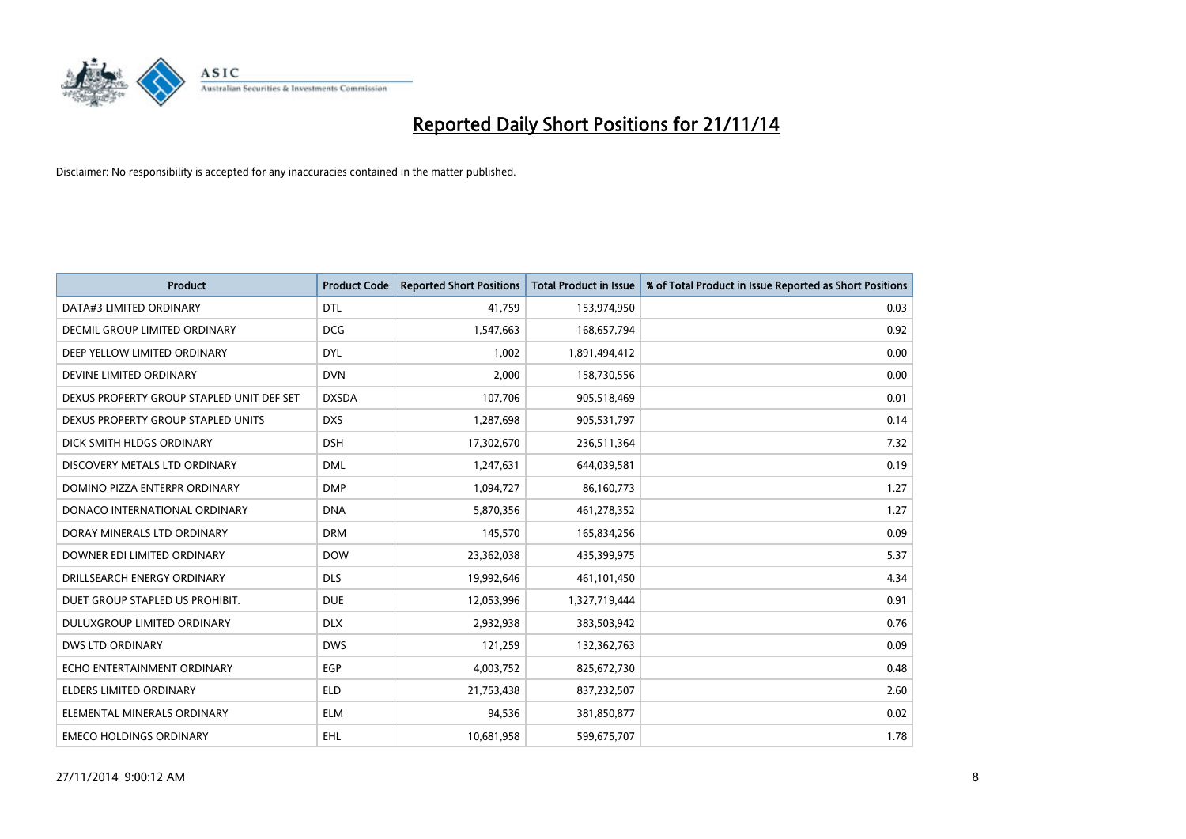

| <b>Product</b>                            | <b>Product Code</b> | <b>Reported Short Positions</b> | <b>Total Product in Issue</b> | % of Total Product in Issue Reported as Short Positions |
|-------------------------------------------|---------------------|---------------------------------|-------------------------------|---------------------------------------------------------|
| DATA#3 LIMITED ORDINARY                   | <b>DTL</b>          | 41,759                          | 153,974,950                   | 0.03                                                    |
| DECMIL GROUP LIMITED ORDINARY             | <b>DCG</b>          | 1,547,663                       | 168,657,794                   | 0.92                                                    |
| DEEP YELLOW LIMITED ORDINARY              | <b>DYL</b>          | 1,002                           | 1,891,494,412                 | 0.00                                                    |
| DEVINE LIMITED ORDINARY                   | <b>DVN</b>          | 2,000                           | 158,730,556                   | 0.00                                                    |
| DEXUS PROPERTY GROUP STAPLED UNIT DEF SET | <b>DXSDA</b>        | 107,706                         | 905,518,469                   | 0.01                                                    |
| DEXUS PROPERTY GROUP STAPLED UNITS        | <b>DXS</b>          | 1,287,698                       | 905,531,797                   | 0.14                                                    |
| DICK SMITH HLDGS ORDINARY                 | <b>DSH</b>          | 17,302,670                      | 236,511,364                   | 7.32                                                    |
| DISCOVERY METALS LTD ORDINARY             | <b>DML</b>          | 1,247,631                       | 644,039,581                   | 0.19                                                    |
| DOMINO PIZZA ENTERPR ORDINARY             | <b>DMP</b>          | 1,094,727                       | 86,160,773                    | 1.27                                                    |
| DONACO INTERNATIONAL ORDINARY             | <b>DNA</b>          | 5,870,356                       | 461,278,352                   | 1.27                                                    |
| DORAY MINERALS LTD ORDINARY               | <b>DRM</b>          | 145,570                         | 165,834,256                   | 0.09                                                    |
| DOWNER EDI LIMITED ORDINARY               | <b>DOW</b>          | 23,362,038                      | 435,399,975                   | 5.37                                                    |
| DRILLSEARCH ENERGY ORDINARY               | <b>DLS</b>          | 19,992,646                      | 461,101,450                   | 4.34                                                    |
| DUET GROUP STAPLED US PROHIBIT.           | <b>DUE</b>          | 12,053,996                      | 1,327,719,444                 | 0.91                                                    |
| DULUXGROUP LIMITED ORDINARY               | <b>DLX</b>          | 2,932,938                       | 383,503,942                   | 0.76                                                    |
| DWS LTD ORDINARY                          | <b>DWS</b>          | 121,259                         | 132,362,763                   | 0.09                                                    |
| ECHO ENTERTAINMENT ORDINARY               | <b>EGP</b>          | 4,003,752                       | 825,672,730                   | 0.48                                                    |
| <b>ELDERS LIMITED ORDINARY</b>            | <b>ELD</b>          | 21,753,438                      | 837,232,507                   | 2.60                                                    |
| ELEMENTAL MINERALS ORDINARY               | <b>ELM</b>          | 94,536                          | 381,850,877                   | 0.02                                                    |
| <b>EMECO HOLDINGS ORDINARY</b>            | <b>EHL</b>          | 10,681,958                      | 599,675,707                   | 1.78                                                    |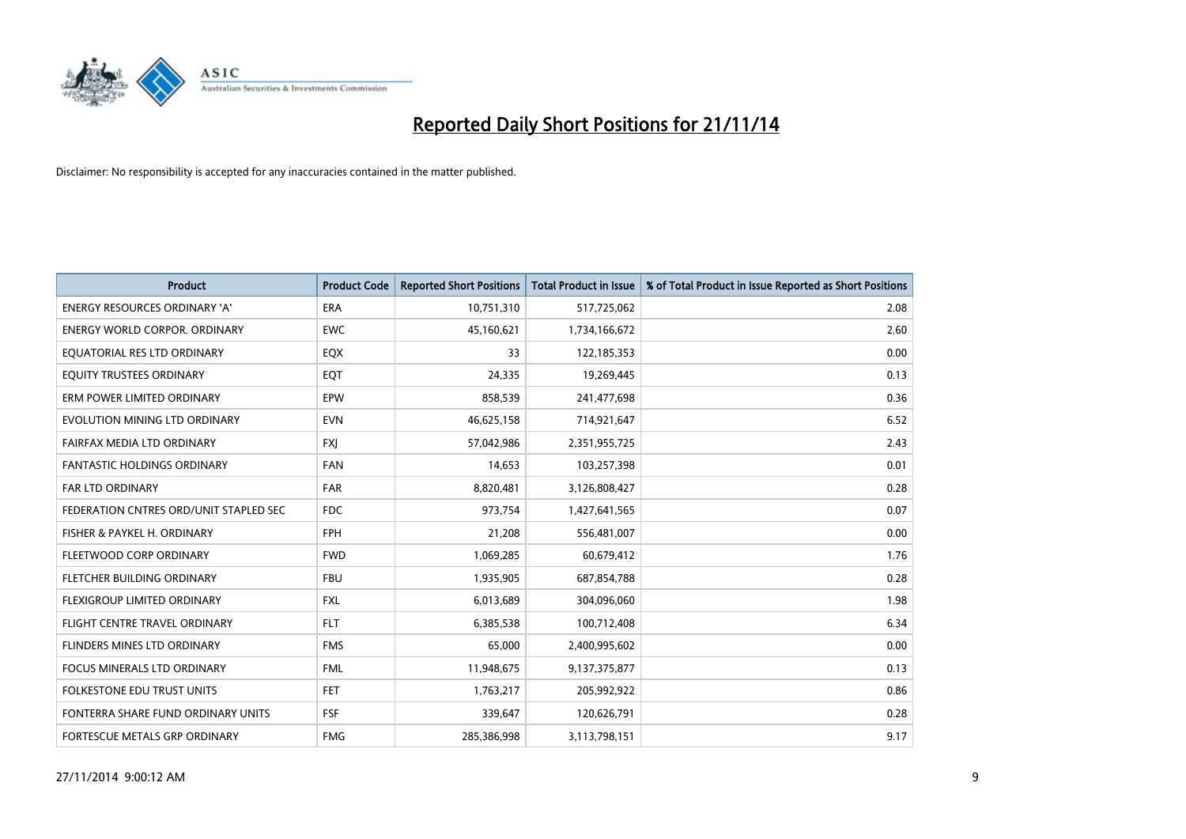

| <b>Product</b>                         | <b>Product Code</b> | <b>Reported Short Positions</b> | <b>Total Product in Issue</b> | % of Total Product in Issue Reported as Short Positions |
|----------------------------------------|---------------------|---------------------------------|-------------------------------|---------------------------------------------------------|
| <b>ENERGY RESOURCES ORDINARY 'A'</b>   | <b>ERA</b>          | 10,751,310                      | 517,725,062                   | 2.08                                                    |
| ENERGY WORLD CORPOR. ORDINARY          | <b>EWC</b>          | 45,160,621                      | 1,734,166,672                 | 2.60                                                    |
| EQUATORIAL RES LTD ORDINARY            | EQX                 | 33                              | 122,185,353                   | 0.00                                                    |
| EQUITY TRUSTEES ORDINARY               | EQT                 | 24,335                          | 19,269,445                    | 0.13                                                    |
| ERM POWER LIMITED ORDINARY             | EPW                 | 858,539                         | 241,477,698                   | 0.36                                                    |
| EVOLUTION MINING LTD ORDINARY          | <b>EVN</b>          | 46,625,158                      | 714,921,647                   | 6.52                                                    |
| FAIRFAX MEDIA LTD ORDINARY             | <b>FXI</b>          | 57,042,986                      | 2,351,955,725                 | 2.43                                                    |
| <b>FANTASTIC HOLDINGS ORDINARY</b>     | <b>FAN</b>          | 14,653                          | 103,257,398                   | 0.01                                                    |
| FAR LTD ORDINARY                       | <b>FAR</b>          | 8,820,481                       | 3,126,808,427                 | 0.28                                                    |
| FEDERATION CNTRES ORD/UNIT STAPLED SEC | <b>FDC</b>          | 973,754                         | 1,427,641,565                 | 0.07                                                    |
| FISHER & PAYKEL H. ORDINARY            | <b>FPH</b>          | 21,208                          | 556,481,007                   | 0.00                                                    |
| FLEETWOOD CORP ORDINARY                | <b>FWD</b>          | 1,069,285                       | 60,679,412                    | 1.76                                                    |
| FLETCHER BUILDING ORDINARY             | <b>FBU</b>          | 1,935,905                       | 687,854,788                   | 0.28                                                    |
| FLEXIGROUP LIMITED ORDINARY            | <b>FXL</b>          | 6,013,689                       | 304,096,060                   | 1.98                                                    |
| FLIGHT CENTRE TRAVEL ORDINARY          | <b>FLT</b>          | 6,385,538                       | 100,712,408                   | 6.34                                                    |
| FLINDERS MINES LTD ORDINARY            | <b>FMS</b>          | 65,000                          | 2,400,995,602                 | 0.00                                                    |
| <b>FOCUS MINERALS LTD ORDINARY</b>     | <b>FML</b>          | 11,948,675                      | 9,137,375,877                 | 0.13                                                    |
| <b>FOLKESTONE EDU TRUST UNITS</b>      | FET.                | 1,763,217                       | 205,992,922                   | 0.86                                                    |
| FONTERRA SHARE FUND ORDINARY UNITS     | <b>FSF</b>          | 339,647                         | 120,626,791                   | 0.28                                                    |
| FORTESCUE METALS GRP ORDINARY          | <b>FMG</b>          | 285,386,998                     | 3,113,798,151                 | 9.17                                                    |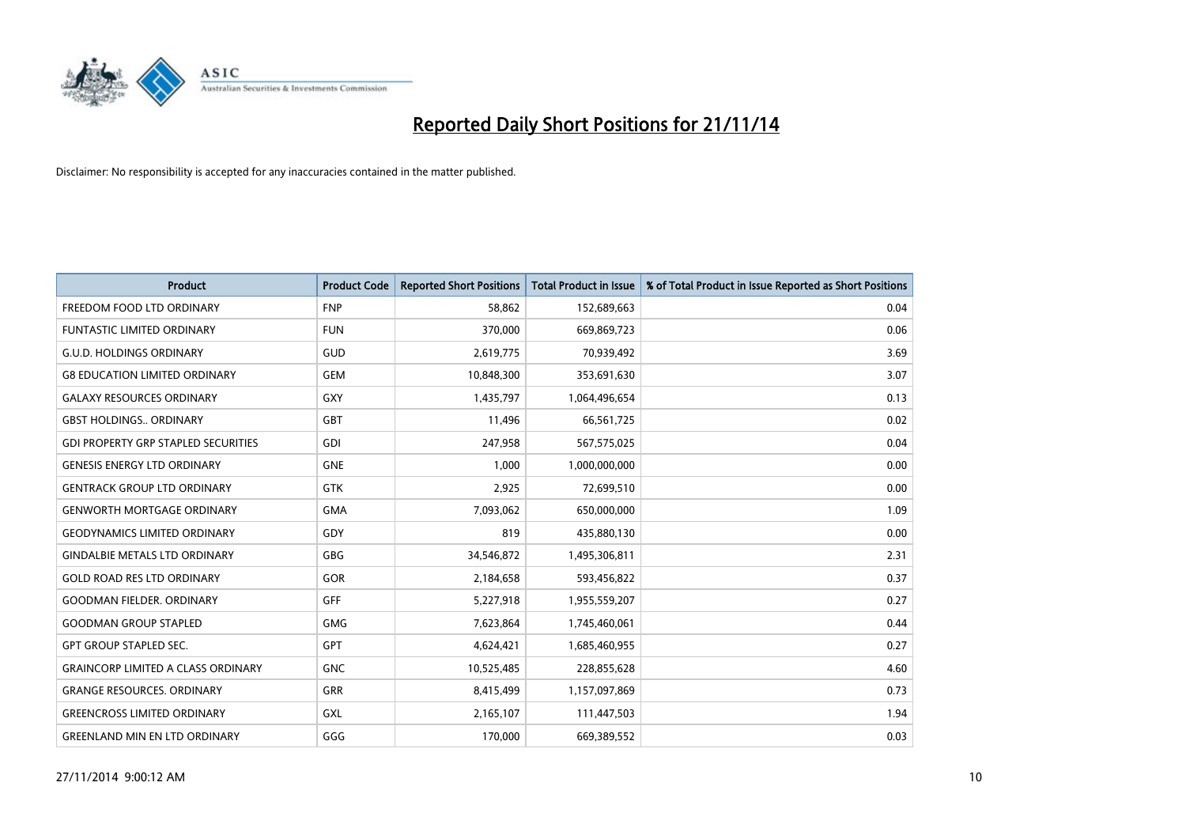

| <b>Product</b>                             | <b>Product Code</b> | <b>Reported Short Positions</b> | <b>Total Product in Issue</b> | % of Total Product in Issue Reported as Short Positions |
|--------------------------------------------|---------------------|---------------------------------|-------------------------------|---------------------------------------------------------|
| FREEDOM FOOD LTD ORDINARY                  | <b>FNP</b>          | 58,862                          | 152,689,663                   | 0.04                                                    |
| FUNTASTIC LIMITED ORDINARY                 | <b>FUN</b>          | 370,000                         | 669,869,723                   | 0.06                                                    |
| <b>G.U.D. HOLDINGS ORDINARY</b>            | <b>GUD</b>          | 2,619,775                       | 70,939,492                    | 3.69                                                    |
| <b>G8 EDUCATION LIMITED ORDINARY</b>       | <b>GEM</b>          | 10,848,300                      | 353,691,630                   | 3.07                                                    |
| <b>GALAXY RESOURCES ORDINARY</b>           | <b>GXY</b>          | 1,435,797                       | 1,064,496,654                 | 0.13                                                    |
| <b>GBST HOLDINGS., ORDINARY</b>            | <b>GBT</b>          | 11,496                          | 66,561,725                    | 0.02                                                    |
| <b>GDI PROPERTY GRP STAPLED SECURITIES</b> | <b>GDI</b>          | 247,958                         | 567,575,025                   | 0.04                                                    |
| <b>GENESIS ENERGY LTD ORDINARY</b>         | <b>GNE</b>          | 1,000                           | 1,000,000,000                 | 0.00                                                    |
| <b>GENTRACK GROUP LTD ORDINARY</b>         | <b>GTK</b>          | 2,925                           | 72,699,510                    | 0.00                                                    |
| <b>GENWORTH MORTGAGE ORDINARY</b>          | <b>GMA</b>          | 7,093,062                       | 650,000,000                   | 1.09                                                    |
| <b>GEODYNAMICS LIMITED ORDINARY</b>        | GDY                 | 819                             | 435,880,130                   | 0.00                                                    |
| <b>GINDALBIE METALS LTD ORDINARY</b>       | GBG                 | 34,546,872                      | 1,495,306,811                 | 2.31                                                    |
| <b>GOLD ROAD RES LTD ORDINARY</b>          | GOR                 | 2,184,658                       | 593,456,822                   | 0.37                                                    |
| <b>GOODMAN FIELDER, ORDINARY</b>           | GFF                 | 5,227,918                       | 1,955,559,207                 | 0.27                                                    |
| <b>GOODMAN GROUP STAPLED</b>               | <b>GMG</b>          | 7,623,864                       | 1,745,460,061                 | 0.44                                                    |
| <b>GPT GROUP STAPLED SEC.</b>              | GPT                 | 4,624,421                       | 1,685,460,955                 | 0.27                                                    |
| <b>GRAINCORP LIMITED A CLASS ORDINARY</b>  | <b>GNC</b>          | 10,525,485                      | 228,855,628                   | 4.60                                                    |
| <b>GRANGE RESOURCES. ORDINARY</b>          | <b>GRR</b>          | 8,415,499                       | 1,157,097,869                 | 0.73                                                    |
| <b>GREENCROSS LIMITED ORDINARY</b>         | <b>GXL</b>          | 2,165,107                       | 111,447,503                   | 1.94                                                    |
| <b>GREENLAND MIN EN LTD ORDINARY</b>       | GGG                 | 170,000                         | 669,389,552                   | 0.03                                                    |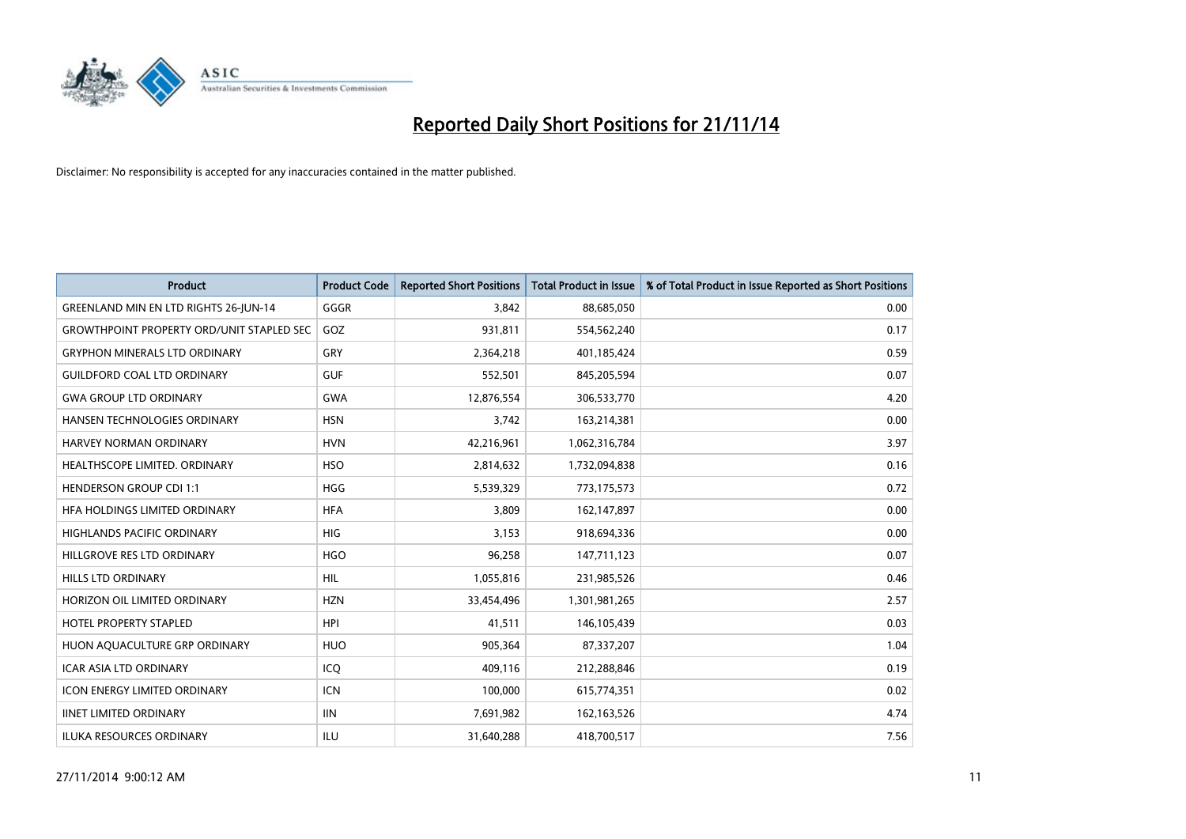

| <b>Product</b>                                   | <b>Product Code</b> | <b>Reported Short Positions</b> | <b>Total Product in Issue</b> | % of Total Product in Issue Reported as Short Positions |
|--------------------------------------------------|---------------------|---------------------------------|-------------------------------|---------------------------------------------------------|
| GREENLAND MIN EN LTD RIGHTS 26-JUN-14            | GGGR                | 3.842                           | 88,685,050                    | 0.00                                                    |
| <b>GROWTHPOINT PROPERTY ORD/UNIT STAPLED SEC</b> | GOZ                 | 931,811                         | 554,562,240                   | 0.17                                                    |
| <b>GRYPHON MINERALS LTD ORDINARY</b>             | GRY                 | 2,364,218                       | 401,185,424                   | 0.59                                                    |
| <b>GUILDFORD COAL LTD ORDINARY</b>               | <b>GUF</b>          | 552,501                         | 845,205,594                   | 0.07                                                    |
| <b>GWA GROUP LTD ORDINARY</b>                    | <b>GWA</b>          | 12,876,554                      | 306,533,770                   | 4.20                                                    |
| <b>HANSEN TECHNOLOGIES ORDINARY</b>              | <b>HSN</b>          | 3,742                           | 163,214,381                   | 0.00                                                    |
| HARVEY NORMAN ORDINARY                           | <b>HVN</b>          | 42,216,961                      | 1,062,316,784                 | 3.97                                                    |
| HEALTHSCOPE LIMITED. ORDINARY                    | <b>HSO</b>          | 2,814,632                       | 1,732,094,838                 | 0.16                                                    |
| <b>HENDERSON GROUP CDI 1:1</b>                   | <b>HGG</b>          | 5,539,329                       | 773,175,573                   | 0.72                                                    |
| HEA HOLDINGS LIMITED ORDINARY                    | <b>HFA</b>          | 3,809                           | 162,147,897                   | 0.00                                                    |
| HIGHLANDS PACIFIC ORDINARY                       | <b>HIG</b>          | 3,153                           | 918,694,336                   | 0.00                                                    |
| HILLGROVE RES LTD ORDINARY                       | <b>HGO</b>          | 96,258                          | 147,711,123                   | 0.07                                                    |
| HILLS LTD ORDINARY                               | HIL                 | 1,055,816                       | 231,985,526                   | 0.46                                                    |
| HORIZON OIL LIMITED ORDINARY                     | <b>HZN</b>          | 33,454,496                      | 1,301,981,265                 | 2.57                                                    |
| <b>HOTEL PROPERTY STAPLED</b>                    | <b>HPI</b>          | 41,511                          | 146,105,439                   | 0.03                                                    |
| HUON AQUACULTURE GRP ORDINARY                    | <b>HUO</b>          | 905,364                         | 87,337,207                    | 1.04                                                    |
| <b>ICAR ASIA LTD ORDINARY</b>                    | ICQ                 | 409,116                         | 212,288,846                   | 0.19                                                    |
| <b>ICON ENERGY LIMITED ORDINARY</b>              | <b>ICN</b>          | 100,000                         | 615,774,351                   | 0.02                                                    |
| <b>IINET LIMITED ORDINARY</b>                    | <b>IIN</b>          | 7,691,982                       | 162, 163, 526                 | 4.74                                                    |
| <b>ILUKA RESOURCES ORDINARY</b>                  | ILU                 | 31,640,288                      | 418,700,517                   | 7.56                                                    |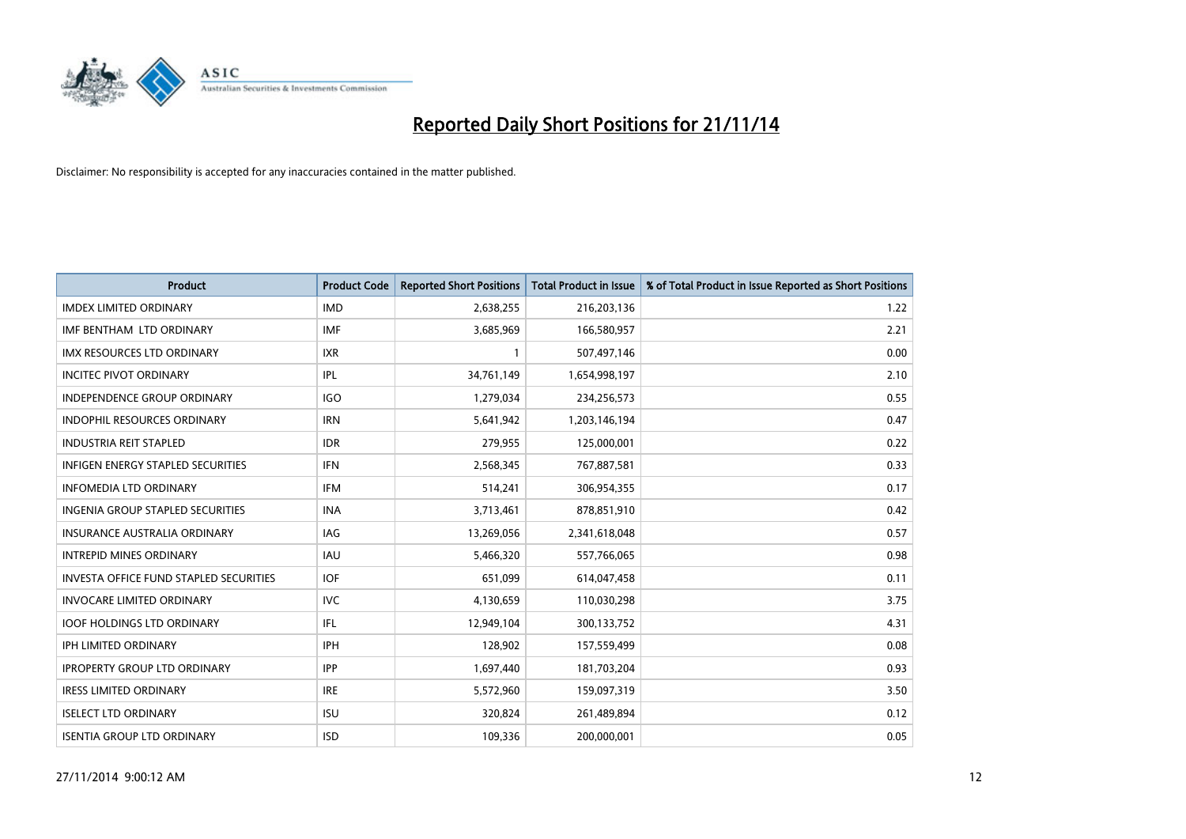

| <b>Product</b>                                | <b>Product Code</b> | <b>Reported Short Positions</b> | <b>Total Product in Issue</b> | % of Total Product in Issue Reported as Short Positions |
|-----------------------------------------------|---------------------|---------------------------------|-------------------------------|---------------------------------------------------------|
| <b>IMDEX LIMITED ORDINARY</b>                 | <b>IMD</b>          | 2,638,255                       | 216,203,136                   | 1.22                                                    |
| IMF BENTHAM LTD ORDINARY                      | <b>IMF</b>          | 3,685,969                       | 166,580,957                   | 2.21                                                    |
| <b>IMX RESOURCES LTD ORDINARY</b>             | <b>IXR</b>          | $\mathbf{1}$                    | 507,497,146                   | 0.00                                                    |
| <b>INCITEC PIVOT ORDINARY</b>                 | IPL                 | 34,761,149                      | 1,654,998,197                 | 2.10                                                    |
| <b>INDEPENDENCE GROUP ORDINARY</b>            | <b>IGO</b>          | 1,279,034                       | 234,256,573                   | 0.55                                                    |
| <b>INDOPHIL RESOURCES ORDINARY</b>            | <b>IRN</b>          | 5,641,942                       | 1,203,146,194                 | 0.47                                                    |
| <b>INDUSTRIA REIT STAPLED</b>                 | <b>IDR</b>          | 279,955                         | 125,000,001                   | 0.22                                                    |
| <b>INFIGEN ENERGY STAPLED SECURITIES</b>      | <b>IFN</b>          | 2,568,345                       | 767,887,581                   | 0.33                                                    |
| <b>INFOMEDIA LTD ORDINARY</b>                 | <b>IFM</b>          | 514,241                         | 306,954,355                   | 0.17                                                    |
| <b>INGENIA GROUP STAPLED SECURITIES</b>       | <b>INA</b>          | 3,713,461                       | 878,851,910                   | 0.42                                                    |
| INSURANCE AUSTRALIA ORDINARY                  | IAG                 | 13,269,056                      | 2,341,618,048                 | 0.57                                                    |
| <b>INTREPID MINES ORDINARY</b>                | <b>IAU</b>          | 5,466,320                       | 557,766,065                   | 0.98                                                    |
| <b>INVESTA OFFICE FUND STAPLED SECURITIES</b> | <b>IOF</b>          | 651,099                         | 614,047,458                   | 0.11                                                    |
| <b>INVOCARE LIMITED ORDINARY</b>              | <b>IVC</b>          | 4,130,659                       | 110,030,298                   | 3.75                                                    |
| <b>IOOF HOLDINGS LTD ORDINARY</b>             | IFL                 | 12,949,104                      | 300,133,752                   | 4.31                                                    |
| IPH LIMITED ORDINARY                          | IPH                 | 128,902                         | 157,559,499                   | 0.08                                                    |
| <b>IPROPERTY GROUP LTD ORDINARY</b>           | <b>IPP</b>          | 1,697,440                       | 181,703,204                   | 0.93                                                    |
| <b>IRESS LIMITED ORDINARY</b>                 | <b>IRE</b>          | 5,572,960                       | 159,097,319                   | 3.50                                                    |
| <b>ISELECT LTD ORDINARY</b>                   | <b>ISU</b>          | 320,824                         | 261,489,894                   | 0.12                                                    |
| <b>ISENTIA GROUP LTD ORDINARY</b>             | <b>ISD</b>          | 109,336                         | 200,000,001                   | 0.05                                                    |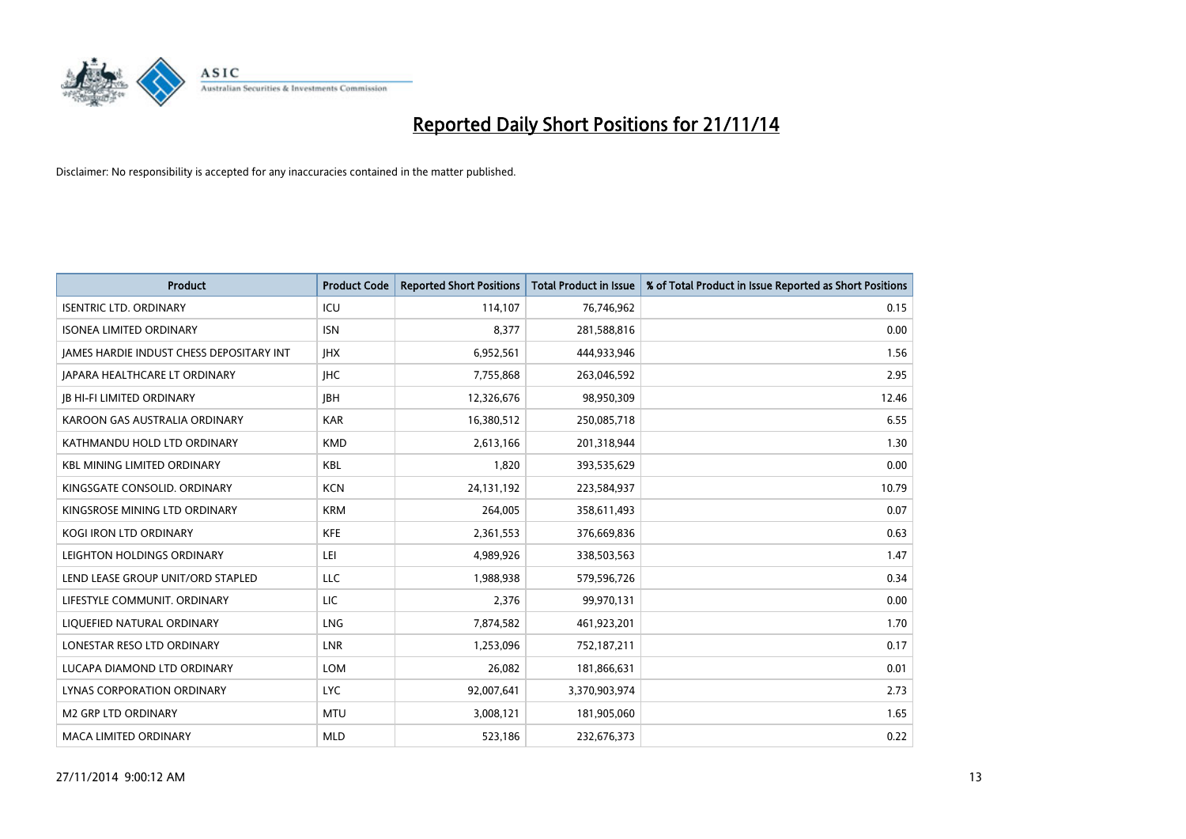

| <b>Product</b>                                  | <b>Product Code</b> | <b>Reported Short Positions</b> | <b>Total Product in Issue</b> | % of Total Product in Issue Reported as Short Positions |
|-------------------------------------------------|---------------------|---------------------------------|-------------------------------|---------------------------------------------------------|
| <b>ISENTRIC LTD. ORDINARY</b>                   | ICU                 | 114,107                         | 76,746,962                    | 0.15                                                    |
| <b>ISONEA LIMITED ORDINARY</b>                  | <b>ISN</b>          | 8,377                           | 281,588,816                   | 0.00                                                    |
| <b>JAMES HARDIE INDUST CHESS DEPOSITARY INT</b> | <b>IHX</b>          | 6,952,561                       | 444,933,946                   | 1.56                                                    |
| <b>JAPARA HEALTHCARE LT ORDINARY</b>            | <b>IHC</b>          | 7,755,868                       | 263,046,592                   | 2.95                                                    |
| <b>JB HI-FI LIMITED ORDINARY</b>                | <b>JBH</b>          | 12,326,676                      | 98,950,309                    | 12.46                                                   |
| KAROON GAS AUSTRALIA ORDINARY                   | <b>KAR</b>          | 16,380,512                      | 250,085,718                   | 6.55                                                    |
| KATHMANDU HOLD LTD ORDINARY                     | <b>KMD</b>          | 2,613,166                       | 201,318,944                   | 1.30                                                    |
| KBL MINING LIMITED ORDINARY                     | <b>KBL</b>          | 1,820                           | 393,535,629                   | 0.00                                                    |
| KINGSGATE CONSOLID, ORDINARY                    | <b>KCN</b>          | 24,131,192                      | 223,584,937                   | 10.79                                                   |
| KINGSROSE MINING LTD ORDINARY                   | <b>KRM</b>          | 264,005                         | 358,611,493                   | 0.07                                                    |
| KOGI IRON LTD ORDINARY                          | <b>KFE</b>          | 2,361,553                       | 376,669,836                   | 0.63                                                    |
| LEIGHTON HOLDINGS ORDINARY                      | LEI                 | 4,989,926                       | 338,503,563                   | 1.47                                                    |
| LEND LEASE GROUP UNIT/ORD STAPLED               | LLC                 | 1,988,938                       | 579,596,726                   | 0.34                                                    |
| LIFESTYLE COMMUNIT. ORDINARY                    | LIC                 | 2,376                           | 99,970,131                    | 0.00                                                    |
| LIQUEFIED NATURAL ORDINARY                      | <b>LNG</b>          | 7,874,582                       | 461,923,201                   | 1.70                                                    |
| LONESTAR RESO LTD ORDINARY                      | LNR                 | 1,253,096                       | 752,187,211                   | 0.17                                                    |
| LUCAPA DIAMOND LTD ORDINARY                     | <b>LOM</b>          | 26,082                          | 181,866,631                   | 0.01                                                    |
| LYNAS CORPORATION ORDINARY                      | <b>LYC</b>          | 92,007,641                      | 3,370,903,974                 | 2.73                                                    |
| <b>M2 GRP LTD ORDINARY</b>                      | <b>MTU</b>          | 3,008,121                       | 181,905,060                   | 1.65                                                    |
| MACA LIMITED ORDINARY                           | <b>MLD</b>          | 523,186                         | 232,676,373                   | 0.22                                                    |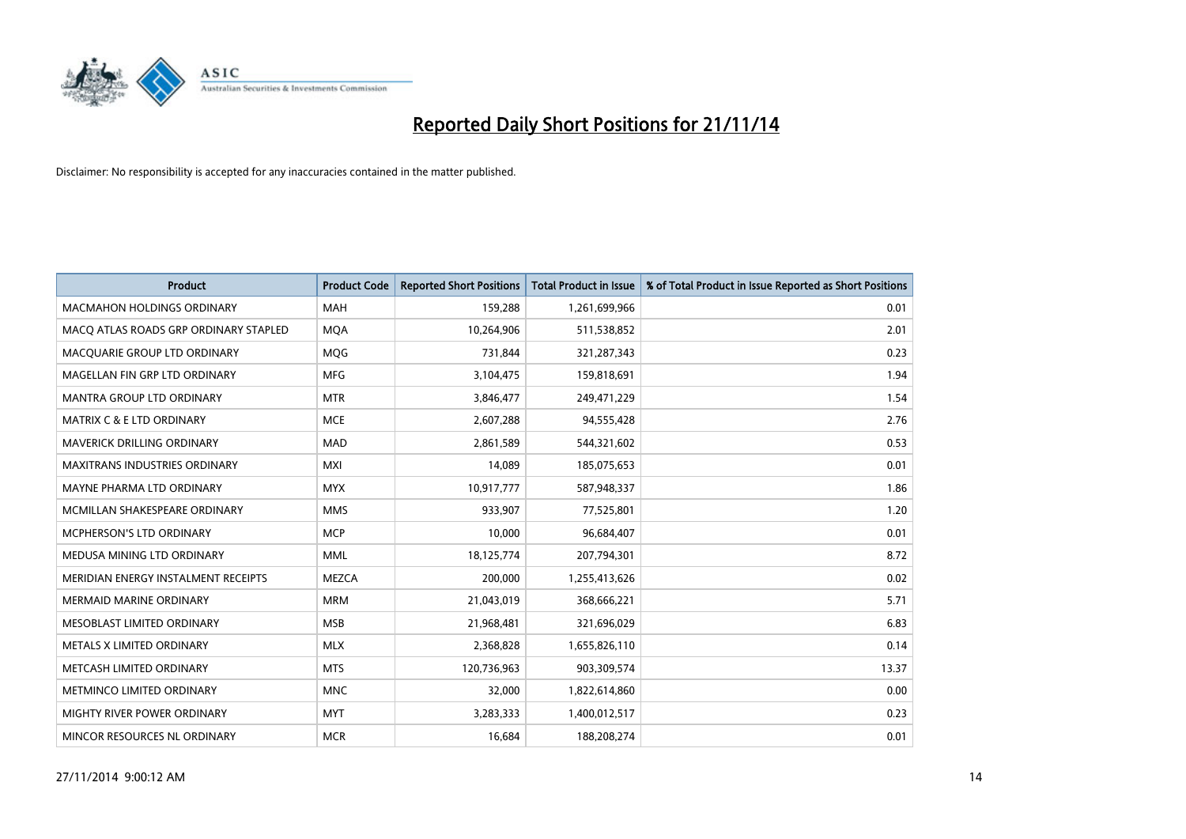

| <b>Product</b>                        | <b>Product Code</b> | <b>Reported Short Positions</b> | Total Product in Issue | % of Total Product in Issue Reported as Short Positions |
|---------------------------------------|---------------------|---------------------------------|------------------------|---------------------------------------------------------|
| <b>MACMAHON HOLDINGS ORDINARY</b>     | <b>MAH</b>          | 159,288                         | 1,261,699,966          | 0.01                                                    |
| MACO ATLAS ROADS GRP ORDINARY STAPLED | <b>MOA</b>          | 10,264,906                      | 511,538,852            | 2.01                                                    |
| MACOUARIE GROUP LTD ORDINARY          | MQG                 | 731,844                         | 321,287,343            | 0.23                                                    |
| MAGELLAN FIN GRP LTD ORDINARY         | MFG                 | 3,104,475                       | 159,818,691            | 1.94                                                    |
| <b>MANTRA GROUP LTD ORDINARY</b>      | <b>MTR</b>          | 3,846,477                       | 249,471,229            | 1.54                                                    |
| <b>MATRIX C &amp; E LTD ORDINARY</b>  | <b>MCE</b>          | 2,607,288                       | 94,555,428             | 2.76                                                    |
| <b>MAVERICK DRILLING ORDINARY</b>     | <b>MAD</b>          | 2,861,589                       | 544,321,602            | 0.53                                                    |
| <b>MAXITRANS INDUSTRIES ORDINARY</b>  | <b>MXI</b>          | 14,089                          | 185,075,653            | 0.01                                                    |
| MAYNE PHARMA LTD ORDINARY             | <b>MYX</b>          | 10,917,777                      | 587,948,337            | 1.86                                                    |
| MCMILLAN SHAKESPEARE ORDINARY         | <b>MMS</b>          | 933,907                         | 77,525,801             | 1.20                                                    |
| MCPHERSON'S LTD ORDINARY              | <b>MCP</b>          | 10,000                          | 96,684,407             | 0.01                                                    |
| MEDUSA MINING LTD ORDINARY            | <b>MML</b>          | 18,125,774                      | 207,794,301            | 8.72                                                    |
| MERIDIAN ENERGY INSTALMENT RECEIPTS   | <b>MEZCA</b>        | 200,000                         | 1,255,413,626          | 0.02                                                    |
| <b>MERMAID MARINE ORDINARY</b>        | <b>MRM</b>          | 21,043,019                      | 368,666,221            | 5.71                                                    |
| MESOBLAST LIMITED ORDINARY            | <b>MSB</b>          | 21,968,481                      | 321,696,029            | 6.83                                                    |
| METALS X LIMITED ORDINARY             | <b>MLX</b>          | 2,368,828                       | 1,655,826,110          | 0.14                                                    |
| METCASH LIMITED ORDINARY              | <b>MTS</b>          | 120,736,963                     | 903,309,574            | 13.37                                                   |
| METMINCO LIMITED ORDINARY             | <b>MNC</b>          | 32,000                          | 1,822,614,860          | 0.00                                                    |
| MIGHTY RIVER POWER ORDINARY           | <b>MYT</b>          | 3,283,333                       | 1,400,012,517          | 0.23                                                    |
| MINCOR RESOURCES NL ORDINARY          | <b>MCR</b>          | 16,684                          | 188,208,274            | 0.01                                                    |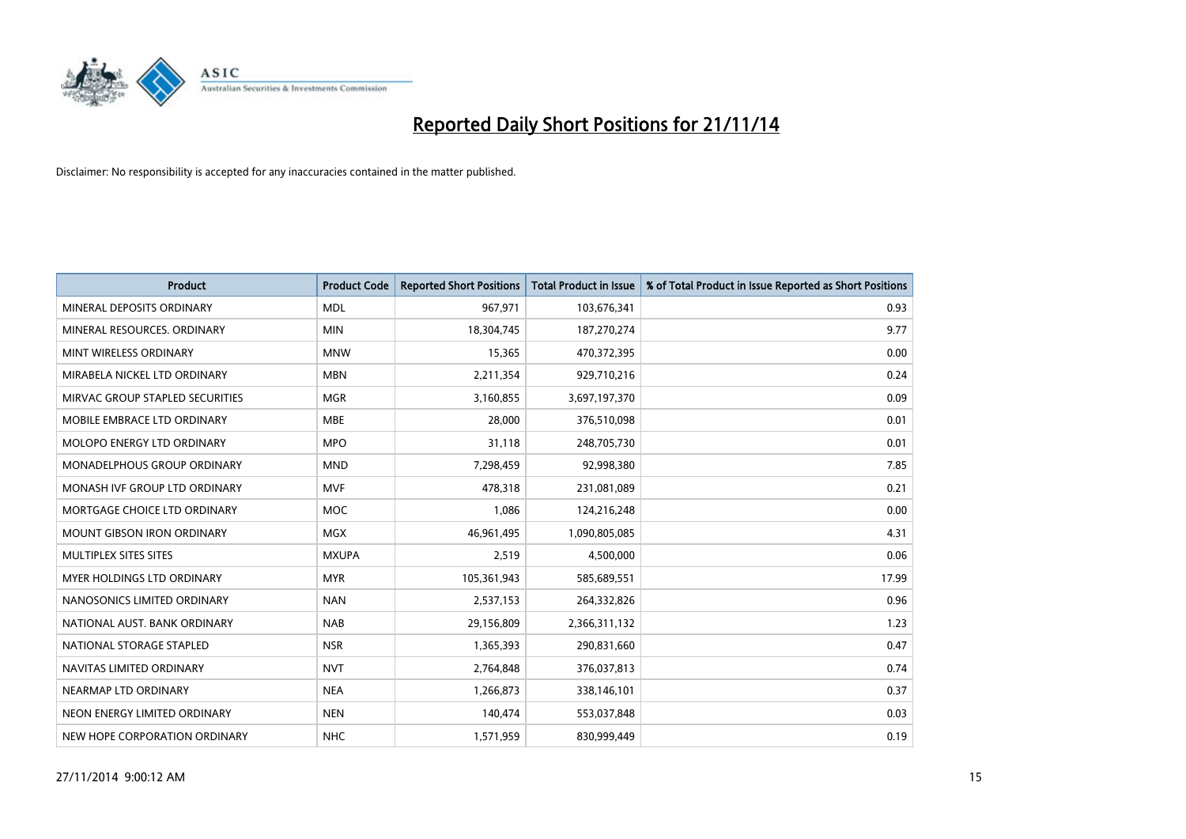

| <b>Product</b>                    | <b>Product Code</b> | <b>Reported Short Positions</b> | <b>Total Product in Issue</b> | % of Total Product in Issue Reported as Short Positions |
|-----------------------------------|---------------------|---------------------------------|-------------------------------|---------------------------------------------------------|
| MINERAL DEPOSITS ORDINARY         | <b>MDL</b>          | 967,971                         | 103,676,341                   | 0.93                                                    |
| MINERAL RESOURCES. ORDINARY       | <b>MIN</b>          | 18,304,745                      | 187,270,274                   | 9.77                                                    |
| MINT WIRELESS ORDINARY            | <b>MNW</b>          | 15,365                          | 470,372,395                   | 0.00                                                    |
| MIRABELA NICKEL LTD ORDINARY      | <b>MBN</b>          | 2,211,354                       | 929,710,216                   | 0.24                                                    |
| MIRVAC GROUP STAPLED SECURITIES   | <b>MGR</b>          | 3,160,855                       | 3,697,197,370                 | 0.09                                                    |
| MOBILE EMBRACE LTD ORDINARY       | <b>MBE</b>          | 28,000                          | 376,510,098                   | 0.01                                                    |
| <b>MOLOPO ENERGY LTD ORDINARY</b> | <b>MPO</b>          | 31,118                          | 248,705,730                   | 0.01                                                    |
| MONADELPHOUS GROUP ORDINARY       | <b>MND</b>          | 7,298,459                       | 92,998,380                    | 7.85                                                    |
| MONASH IVF GROUP LTD ORDINARY     | <b>MVF</b>          | 478,318                         | 231,081,089                   | 0.21                                                    |
| MORTGAGE CHOICE LTD ORDINARY      | <b>MOC</b>          | 1,086                           | 124,216,248                   | 0.00                                                    |
| MOUNT GIBSON IRON ORDINARY        | MGX                 | 46,961,495                      | 1,090,805,085                 | 4.31                                                    |
| MULTIPLEX SITES SITES             | <b>MXUPA</b>        | 2,519                           | 4,500,000                     | 0.06                                                    |
| MYER HOLDINGS LTD ORDINARY        | <b>MYR</b>          | 105,361,943                     | 585,689,551                   | 17.99                                                   |
| NANOSONICS LIMITED ORDINARY       | <b>NAN</b>          | 2,537,153                       | 264,332,826                   | 0.96                                                    |
| NATIONAL AUST, BANK ORDINARY      | <b>NAB</b>          | 29,156,809                      | 2,366,311,132                 | 1.23                                                    |
| NATIONAL STORAGE STAPLED          | <b>NSR</b>          | 1,365,393                       | 290,831,660                   | 0.47                                                    |
| NAVITAS LIMITED ORDINARY          | <b>NVT</b>          | 2,764,848                       | 376,037,813                   | 0.74                                                    |
| NEARMAP LTD ORDINARY              | <b>NEA</b>          | 1,266,873                       | 338,146,101                   | 0.37                                                    |
| NEON ENERGY LIMITED ORDINARY      | <b>NEN</b>          | 140,474                         | 553,037,848                   | 0.03                                                    |
| NEW HOPE CORPORATION ORDINARY     | <b>NHC</b>          | 1,571,959                       | 830,999,449                   | 0.19                                                    |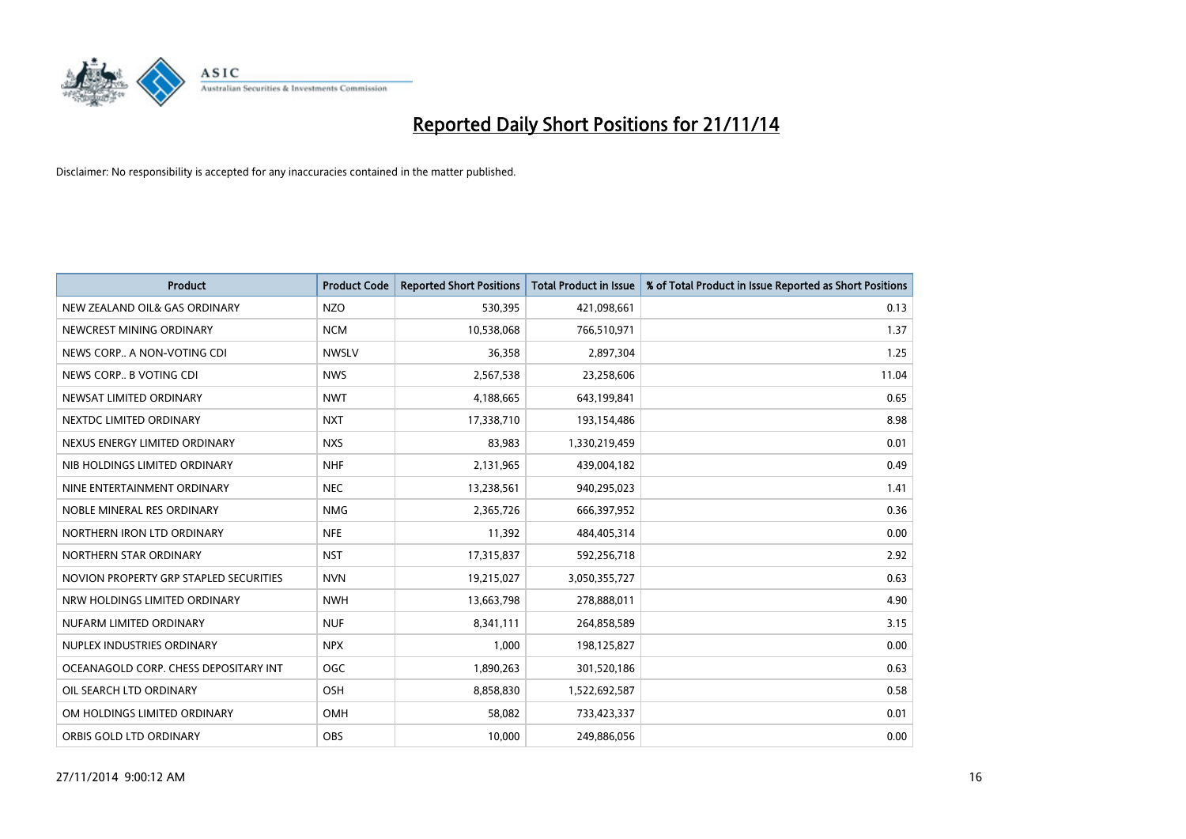

| <b>Product</b>                         | <b>Product Code</b> | <b>Reported Short Positions</b> | <b>Total Product in Issue</b> | % of Total Product in Issue Reported as Short Positions |
|----------------------------------------|---------------------|---------------------------------|-------------------------------|---------------------------------------------------------|
| NEW ZEALAND OIL& GAS ORDINARY          | <b>NZO</b>          | 530,395                         | 421,098,661                   | 0.13                                                    |
| NEWCREST MINING ORDINARY               | <b>NCM</b>          | 10,538,068                      | 766,510,971                   | 1.37                                                    |
| NEWS CORP A NON-VOTING CDI             | <b>NWSLV</b>        | 36,358                          | 2,897,304                     | 1.25                                                    |
| NEWS CORP B VOTING CDI                 | <b>NWS</b>          | 2,567,538                       | 23,258,606                    | 11.04                                                   |
| NEWSAT LIMITED ORDINARY                | <b>NWT</b>          | 4,188,665                       | 643,199,841                   | 0.65                                                    |
| NEXTDC LIMITED ORDINARY                | <b>NXT</b>          | 17,338,710                      | 193,154,486                   | 8.98                                                    |
| NEXUS ENERGY LIMITED ORDINARY          | <b>NXS</b>          | 83.983                          | 1,330,219,459                 | 0.01                                                    |
| NIB HOLDINGS LIMITED ORDINARY          | <b>NHF</b>          | 2,131,965                       | 439,004,182                   | 0.49                                                    |
| NINE ENTERTAINMENT ORDINARY            | <b>NEC</b>          | 13,238,561                      | 940,295,023                   | 1.41                                                    |
| NOBLE MINERAL RES ORDINARY             | <b>NMG</b>          | 2,365,726                       | 666,397,952                   | 0.36                                                    |
| NORTHERN IRON LTD ORDINARY             | <b>NFE</b>          | 11,392                          | 484,405,314                   | 0.00                                                    |
| NORTHERN STAR ORDINARY                 | <b>NST</b>          | 17,315,837                      | 592,256,718                   | 2.92                                                    |
| NOVION PROPERTY GRP STAPLED SECURITIES | <b>NVN</b>          | 19,215,027                      | 3,050,355,727                 | 0.63                                                    |
| NRW HOLDINGS LIMITED ORDINARY          | <b>NWH</b>          | 13,663,798                      | 278,888,011                   | 4.90                                                    |
| NUFARM LIMITED ORDINARY                | <b>NUF</b>          | 8,341,111                       | 264,858,589                   | 3.15                                                    |
| NUPLEX INDUSTRIES ORDINARY             | <b>NPX</b>          | 1,000                           | 198,125,827                   | 0.00                                                    |
| OCEANAGOLD CORP. CHESS DEPOSITARY INT  | <b>OGC</b>          | 1,890,263                       | 301,520,186                   | 0.63                                                    |
| OIL SEARCH LTD ORDINARY                | <b>OSH</b>          | 8,858,830                       | 1,522,692,587                 | 0.58                                                    |
| OM HOLDINGS LIMITED ORDINARY           | OMH                 | 58,082                          | 733,423,337                   | 0.01                                                    |
| ORBIS GOLD LTD ORDINARY                | <b>OBS</b>          | 10.000                          | 249,886,056                   | 0.00                                                    |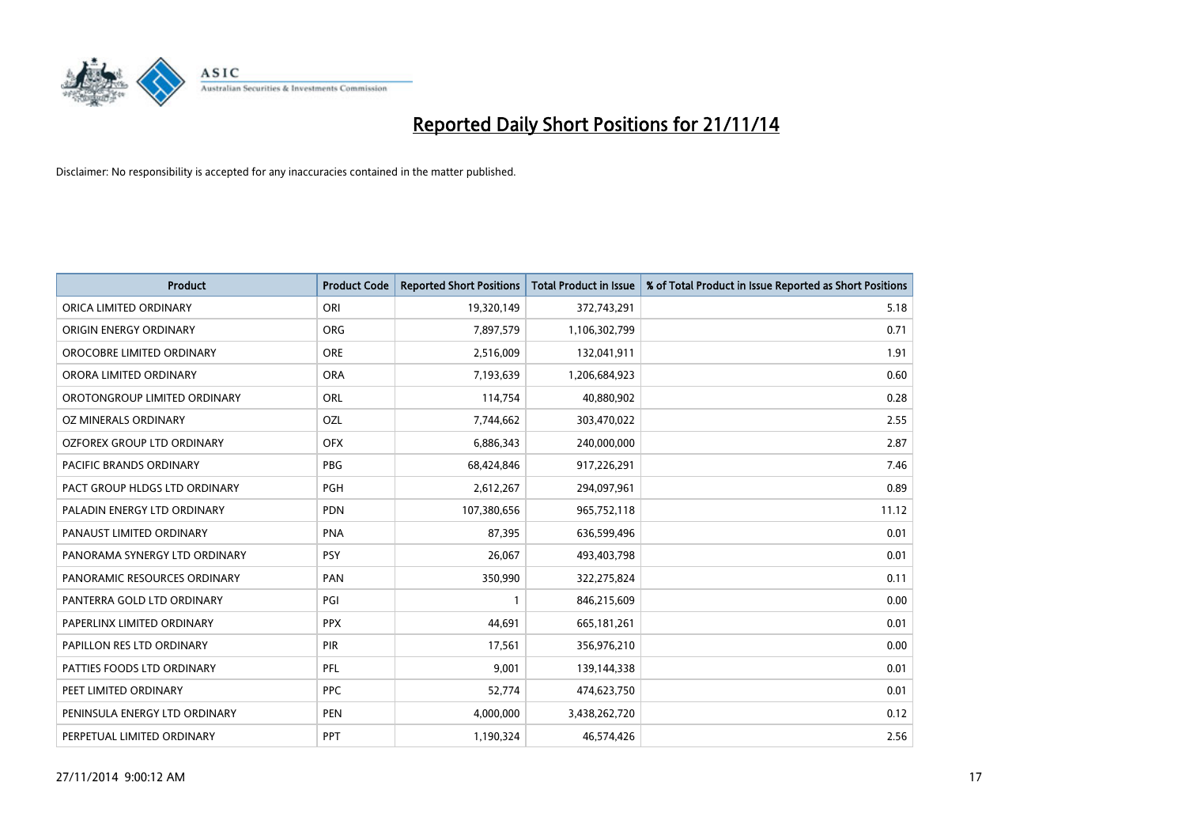

| <b>Product</b>                | <b>Product Code</b> | <b>Reported Short Positions</b> | <b>Total Product in Issue</b> | % of Total Product in Issue Reported as Short Positions |
|-------------------------------|---------------------|---------------------------------|-------------------------------|---------------------------------------------------------|
| ORICA LIMITED ORDINARY        | ORI                 | 19,320,149                      | 372,743,291                   | 5.18                                                    |
| ORIGIN ENERGY ORDINARY        | <b>ORG</b>          | 7,897,579                       | 1,106,302,799                 | 0.71                                                    |
| OROCOBRE LIMITED ORDINARY     | <b>ORE</b>          | 2,516,009                       | 132,041,911                   | 1.91                                                    |
| ORORA LIMITED ORDINARY        | <b>ORA</b>          | 7,193,639                       | 1,206,684,923                 | 0.60                                                    |
| OROTONGROUP LIMITED ORDINARY  | ORL                 | 114,754                         | 40,880,902                    | 0.28                                                    |
| OZ MINERALS ORDINARY          | OZL                 | 7,744,662                       | 303,470,022                   | 2.55                                                    |
| OZFOREX GROUP LTD ORDINARY    | <b>OFX</b>          | 6,886,343                       | 240,000,000                   | 2.87                                                    |
| PACIFIC BRANDS ORDINARY       | <b>PBG</b>          | 68,424,846                      | 917,226,291                   | 7.46                                                    |
| PACT GROUP HLDGS LTD ORDINARY | <b>PGH</b>          | 2,612,267                       | 294,097,961                   | 0.89                                                    |
| PALADIN ENERGY LTD ORDINARY   | <b>PDN</b>          | 107,380,656                     | 965,752,118                   | 11.12                                                   |
| PANAUST LIMITED ORDINARY      | <b>PNA</b>          | 87,395                          | 636,599,496                   | 0.01                                                    |
| PANORAMA SYNERGY LTD ORDINARY | <b>PSY</b>          | 26,067                          | 493,403,798                   | 0.01                                                    |
| PANORAMIC RESOURCES ORDINARY  | PAN                 | 350,990                         | 322,275,824                   | 0.11                                                    |
| PANTERRA GOLD LTD ORDINARY    | PGI                 | 1                               | 846,215,609                   | 0.00                                                    |
| PAPERLINX LIMITED ORDINARY    | <b>PPX</b>          | 44,691                          | 665, 181, 261                 | 0.01                                                    |
| PAPILLON RES LTD ORDINARY     | PIR                 | 17,561                          | 356,976,210                   | 0.00                                                    |
| PATTIES FOODS LTD ORDINARY    | PFL                 | 9,001                           | 139,144,338                   | 0.01                                                    |
| PEET LIMITED ORDINARY         | <b>PPC</b>          | 52,774                          | 474,623,750                   | 0.01                                                    |
| PENINSULA ENERGY LTD ORDINARY | <b>PEN</b>          | 4,000,000                       | 3,438,262,720                 | 0.12                                                    |
| PERPETUAL LIMITED ORDINARY    | PPT                 | 1,190,324                       | 46,574,426                    | 2.56                                                    |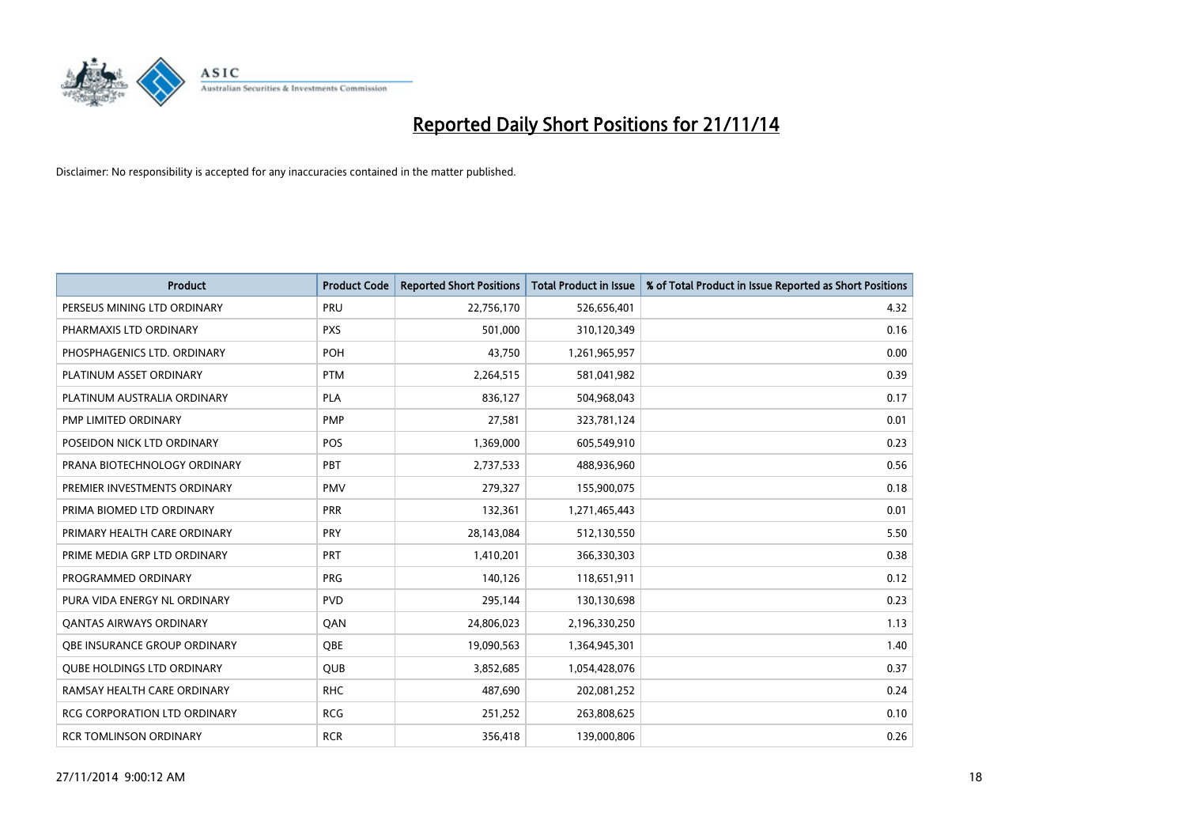

| <b>Product</b>                      | <b>Product Code</b> | <b>Reported Short Positions</b> | <b>Total Product in Issue</b> | % of Total Product in Issue Reported as Short Positions |
|-------------------------------------|---------------------|---------------------------------|-------------------------------|---------------------------------------------------------|
| PERSEUS MINING LTD ORDINARY         | PRU                 | 22,756,170                      | 526,656,401                   | 4.32                                                    |
| PHARMAXIS LTD ORDINARY              | <b>PXS</b>          | 501,000                         | 310,120,349                   | 0.16                                                    |
| PHOSPHAGENICS LTD. ORDINARY         | POH                 | 43,750                          | 1,261,965,957                 | 0.00                                                    |
| PLATINUM ASSET ORDINARY             | <b>PTM</b>          | 2,264,515                       | 581,041,982                   | 0.39                                                    |
| PLATINUM AUSTRALIA ORDINARY         | <b>PLA</b>          | 836,127                         | 504,968,043                   | 0.17                                                    |
| PMP LIMITED ORDINARY                | <b>PMP</b>          | 27,581                          | 323,781,124                   | 0.01                                                    |
| POSEIDON NICK LTD ORDINARY          | POS                 | 1,369,000                       | 605,549,910                   | 0.23                                                    |
| PRANA BIOTECHNOLOGY ORDINARY        | PBT                 | 2,737,533                       | 488,936,960                   | 0.56                                                    |
| PREMIER INVESTMENTS ORDINARY        | <b>PMV</b>          | 279,327                         | 155,900,075                   | 0.18                                                    |
| PRIMA BIOMED LTD ORDINARY           | <b>PRR</b>          | 132,361                         | 1,271,465,443                 | 0.01                                                    |
| PRIMARY HEALTH CARE ORDINARY        | <b>PRY</b>          | 28,143,084                      | 512,130,550                   | 5.50                                                    |
| PRIME MEDIA GRP LTD ORDINARY        | <b>PRT</b>          | 1,410,201                       | 366,330,303                   | 0.38                                                    |
| PROGRAMMED ORDINARY                 | <b>PRG</b>          | 140,126                         | 118,651,911                   | 0.12                                                    |
| PURA VIDA ENERGY NL ORDINARY        | <b>PVD</b>          | 295,144                         | 130,130,698                   | 0.23                                                    |
| <b>QANTAS AIRWAYS ORDINARY</b>      | QAN                 | 24,806,023                      | 2,196,330,250                 | 1.13                                                    |
| OBE INSURANCE GROUP ORDINARY        | <b>OBE</b>          | 19,090,563                      | 1,364,945,301                 | 1.40                                                    |
| <b>QUBE HOLDINGS LTD ORDINARY</b>   | QUB                 | 3,852,685                       | 1,054,428,076                 | 0.37                                                    |
| RAMSAY HEALTH CARE ORDINARY         | <b>RHC</b>          | 487,690                         | 202,081,252                   | 0.24                                                    |
| <b>RCG CORPORATION LTD ORDINARY</b> | <b>RCG</b>          | 251,252                         | 263,808,625                   | 0.10                                                    |
| <b>RCR TOMLINSON ORDINARY</b>       | <b>RCR</b>          | 356,418                         | 139,000,806                   | 0.26                                                    |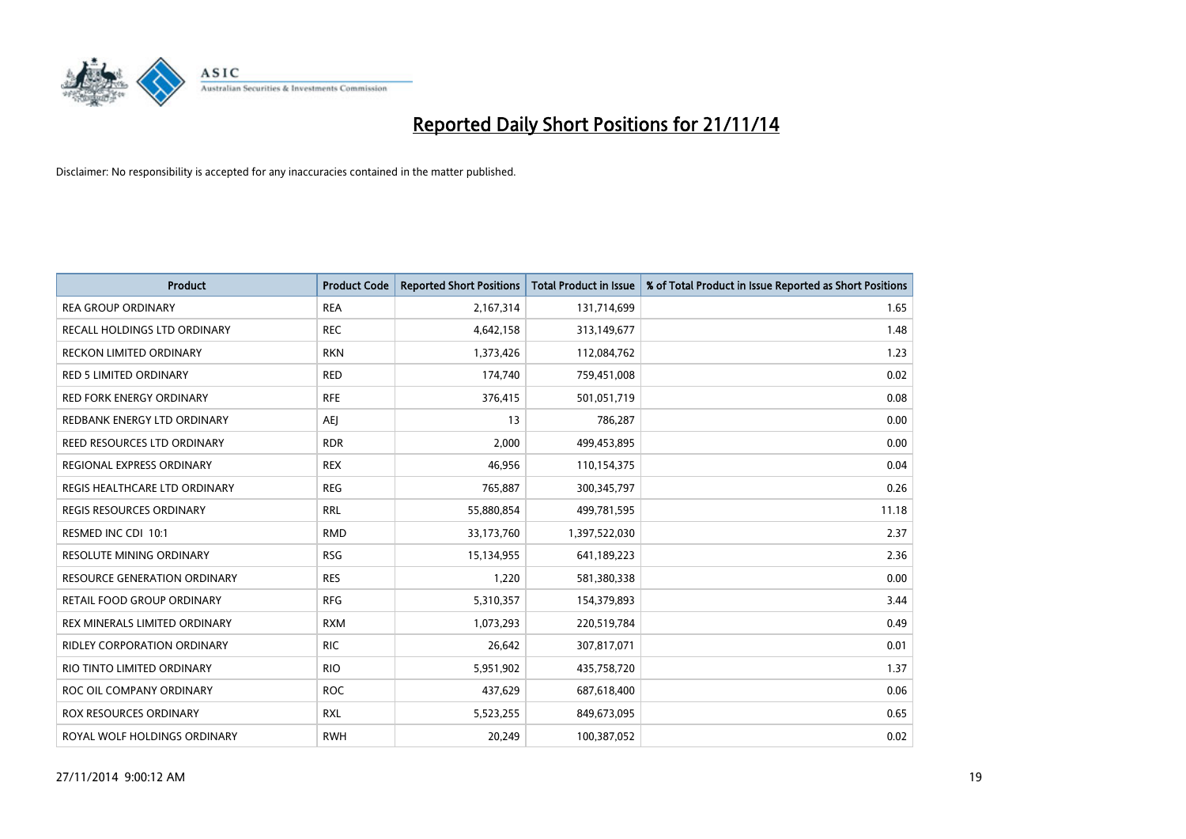

| <b>Product</b>                     | <b>Product Code</b> | <b>Reported Short Positions</b> | <b>Total Product in Issue</b> | % of Total Product in Issue Reported as Short Positions |
|------------------------------------|---------------------|---------------------------------|-------------------------------|---------------------------------------------------------|
| <b>REA GROUP ORDINARY</b>          | <b>REA</b>          | 2,167,314                       | 131,714,699                   | 1.65                                                    |
| RECALL HOLDINGS LTD ORDINARY       | <b>REC</b>          | 4,642,158                       | 313,149,677                   | 1.48                                                    |
| <b>RECKON LIMITED ORDINARY</b>     | <b>RKN</b>          | 1,373,426                       | 112,084,762                   | 1.23                                                    |
| RED 5 LIMITED ORDINARY             | <b>RED</b>          | 174,740                         | 759,451,008                   | 0.02                                                    |
| <b>RED FORK ENERGY ORDINARY</b>    | <b>RFE</b>          | 376,415                         | 501,051,719                   | 0.08                                                    |
| REDBANK ENERGY LTD ORDINARY        | <b>AEJ</b>          | 13                              | 786,287                       | 0.00                                                    |
| <b>REED RESOURCES LTD ORDINARY</b> | <b>RDR</b>          | 2,000                           | 499,453,895                   | 0.00                                                    |
| REGIONAL EXPRESS ORDINARY          | <b>REX</b>          | 46,956                          | 110,154,375                   | 0.04                                                    |
| REGIS HEALTHCARE LTD ORDINARY      | <b>REG</b>          | 765,887                         | 300, 345, 797                 | 0.26                                                    |
| <b>REGIS RESOURCES ORDINARY</b>    | <b>RRL</b>          | 55,880,854                      | 499,781,595                   | 11.18                                                   |
| RESMED INC CDI 10:1                | <b>RMD</b>          | 33,173,760                      | 1,397,522,030                 | 2.37                                                    |
| <b>RESOLUTE MINING ORDINARY</b>    | <b>RSG</b>          | 15,134,955                      | 641,189,223                   | 2.36                                                    |
| RESOURCE GENERATION ORDINARY       | <b>RES</b>          | 1,220                           | 581,380,338                   | 0.00                                                    |
| <b>RETAIL FOOD GROUP ORDINARY</b>  | <b>RFG</b>          | 5,310,357                       | 154,379,893                   | 3.44                                                    |
| REX MINERALS LIMITED ORDINARY      | <b>RXM</b>          | 1,073,293                       | 220,519,784                   | 0.49                                                    |
| RIDLEY CORPORATION ORDINARY        | <b>RIC</b>          | 26,642                          | 307,817,071                   | 0.01                                                    |
| RIO TINTO LIMITED ORDINARY         | <b>RIO</b>          | 5,951,902                       | 435,758,720                   | 1.37                                                    |
| ROC OIL COMPANY ORDINARY           | <b>ROC</b>          | 437,629                         | 687,618,400                   | 0.06                                                    |
| <b>ROX RESOURCES ORDINARY</b>      | <b>RXL</b>          | 5,523,255                       | 849,673,095                   | 0.65                                                    |
| ROYAL WOLF HOLDINGS ORDINARY       | <b>RWH</b>          | 20,249                          | 100,387,052                   | 0.02                                                    |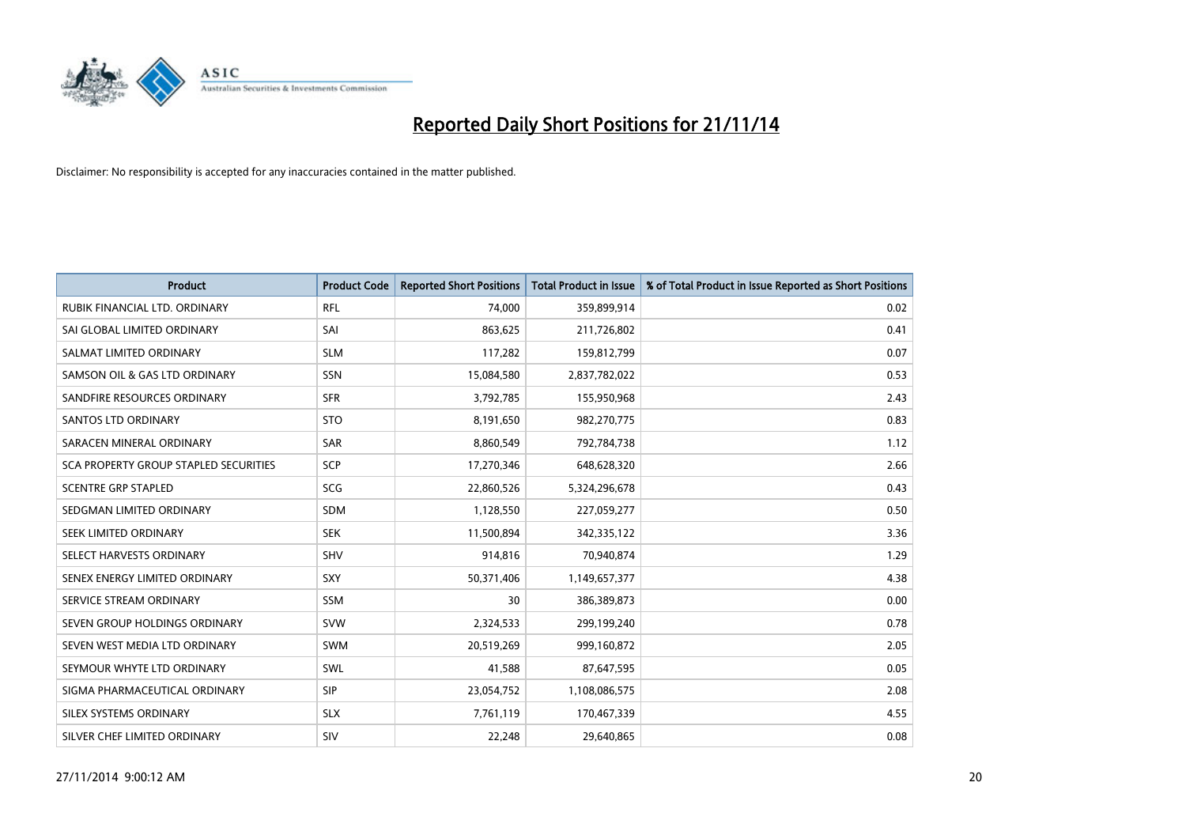

| <b>Product</b>                        | <b>Product Code</b> | <b>Reported Short Positions</b> | <b>Total Product in Issue</b> | % of Total Product in Issue Reported as Short Positions |
|---------------------------------------|---------------------|---------------------------------|-------------------------------|---------------------------------------------------------|
| RUBIK FINANCIAL LTD. ORDINARY         | <b>RFL</b>          | 74,000                          | 359,899,914                   | 0.02                                                    |
| SAI GLOBAL LIMITED ORDINARY           | SAI                 | 863,625                         | 211,726,802                   | 0.41                                                    |
| SALMAT LIMITED ORDINARY               | <b>SLM</b>          | 117,282                         | 159,812,799                   | 0.07                                                    |
| SAMSON OIL & GAS LTD ORDINARY         | SSN                 | 15,084,580                      | 2,837,782,022                 | 0.53                                                    |
| SANDFIRE RESOURCES ORDINARY           | <b>SFR</b>          | 3,792,785                       | 155,950,968                   | 2.43                                                    |
| SANTOS LTD ORDINARY                   | <b>STO</b>          | 8,191,650                       | 982,270,775                   | 0.83                                                    |
| SARACEN MINERAL ORDINARY              | <b>SAR</b>          | 8,860,549                       | 792,784,738                   | 1.12                                                    |
| SCA PROPERTY GROUP STAPLED SECURITIES | SCP                 | 17,270,346                      | 648,628,320                   | 2.66                                                    |
| <b>SCENTRE GRP STAPLED</b>            | <b>SCG</b>          | 22,860,526                      | 5,324,296,678                 | 0.43                                                    |
| SEDGMAN LIMITED ORDINARY              | <b>SDM</b>          | 1,128,550                       | 227,059,277                   | 0.50                                                    |
| SEEK LIMITED ORDINARY                 | <b>SEK</b>          | 11,500,894                      | 342,335,122                   | 3.36                                                    |
| SELECT HARVESTS ORDINARY              | SHV                 | 914,816                         | 70,940,874                    | 1.29                                                    |
| SENEX ENERGY LIMITED ORDINARY         | <b>SXY</b>          | 50,371,406                      | 1,149,657,377                 | 4.38                                                    |
| SERVICE STREAM ORDINARY               | SSM                 | 30                              | 386,389,873                   | 0.00                                                    |
| SEVEN GROUP HOLDINGS ORDINARY         | <b>SVW</b>          | 2,324,533                       | 299,199,240                   | 0.78                                                    |
| SEVEN WEST MEDIA LTD ORDINARY         | SWM                 | 20,519,269                      | 999,160,872                   | 2.05                                                    |
| SEYMOUR WHYTE LTD ORDINARY            | SWL                 | 41,588                          | 87,647,595                    | 0.05                                                    |
| SIGMA PHARMACEUTICAL ORDINARY         | <b>SIP</b>          | 23,054,752                      | 1,108,086,575                 | 2.08                                                    |
| SILEX SYSTEMS ORDINARY                | <b>SLX</b>          | 7,761,119                       | 170,467,339                   | 4.55                                                    |
| SILVER CHEF LIMITED ORDINARY          | SIV                 | 22,248                          | 29,640,865                    | 0.08                                                    |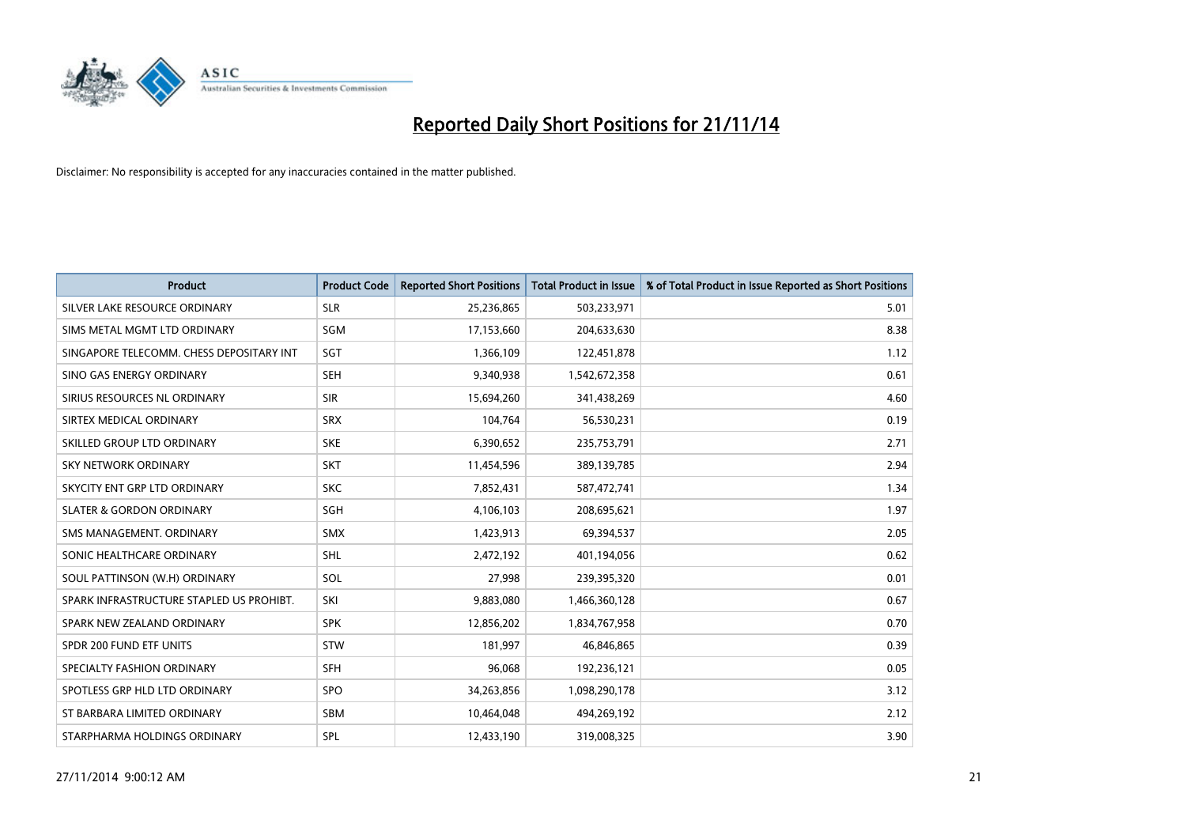

| <b>Product</b>                           | <b>Product Code</b> | <b>Reported Short Positions</b> | <b>Total Product in Issue</b> | % of Total Product in Issue Reported as Short Positions |
|------------------------------------------|---------------------|---------------------------------|-------------------------------|---------------------------------------------------------|
| SILVER LAKE RESOURCE ORDINARY            | <b>SLR</b>          | 25,236,865                      | 503,233,971                   | 5.01                                                    |
| SIMS METAL MGMT LTD ORDINARY             | <b>SGM</b>          | 17,153,660                      | 204,633,630                   | 8.38                                                    |
| SINGAPORE TELECOMM. CHESS DEPOSITARY INT | SGT                 | 1,366,109                       | 122,451,878                   | 1.12                                                    |
| SINO GAS ENERGY ORDINARY                 | <b>SEH</b>          | 9,340,938                       | 1,542,672,358                 | 0.61                                                    |
| SIRIUS RESOURCES NL ORDINARY             | <b>SIR</b>          | 15,694,260                      | 341,438,269                   | 4.60                                                    |
| SIRTEX MEDICAL ORDINARY                  | <b>SRX</b>          | 104,764                         | 56,530,231                    | 0.19                                                    |
| SKILLED GROUP LTD ORDINARY               | <b>SKE</b>          | 6,390,652                       | 235,753,791                   | 2.71                                                    |
| SKY NETWORK ORDINARY                     | <b>SKT</b>          | 11,454,596                      | 389,139,785                   | 2.94                                                    |
| SKYCITY ENT GRP LTD ORDINARY             | <b>SKC</b>          | 7,852,431                       | 587,472,741                   | 1.34                                                    |
| <b>SLATER &amp; GORDON ORDINARY</b>      | SGH                 | 4,106,103                       | 208,695,621                   | 1.97                                                    |
| SMS MANAGEMENT. ORDINARY                 | <b>SMX</b>          | 1,423,913                       | 69,394,537                    | 2.05                                                    |
| SONIC HEALTHCARE ORDINARY                | <b>SHL</b>          | 2,472,192                       | 401,194,056                   | 0.62                                                    |
| SOUL PATTINSON (W.H) ORDINARY            | SOL                 | 27,998                          | 239,395,320                   | 0.01                                                    |
| SPARK INFRASTRUCTURE STAPLED US PROHIBT. | SKI                 | 9,883,080                       | 1,466,360,128                 | 0.67                                                    |
| SPARK NEW ZEALAND ORDINARY               | <b>SPK</b>          | 12,856,202                      | 1,834,767,958                 | 0.70                                                    |
| SPDR 200 FUND ETF UNITS                  | <b>STW</b>          | 181,997                         | 46,846,865                    | 0.39                                                    |
| SPECIALTY FASHION ORDINARY               | <b>SFH</b>          | 96,068                          | 192,236,121                   | 0.05                                                    |
| SPOTLESS GRP HLD LTD ORDINARY            | <b>SPO</b>          | 34,263,856                      | 1,098,290,178                 | 3.12                                                    |
| ST BARBARA LIMITED ORDINARY              | <b>SBM</b>          | 10,464,048                      | 494,269,192                   | 2.12                                                    |
| STARPHARMA HOLDINGS ORDINARY             | SPL                 | 12,433,190                      | 319,008,325                   | 3.90                                                    |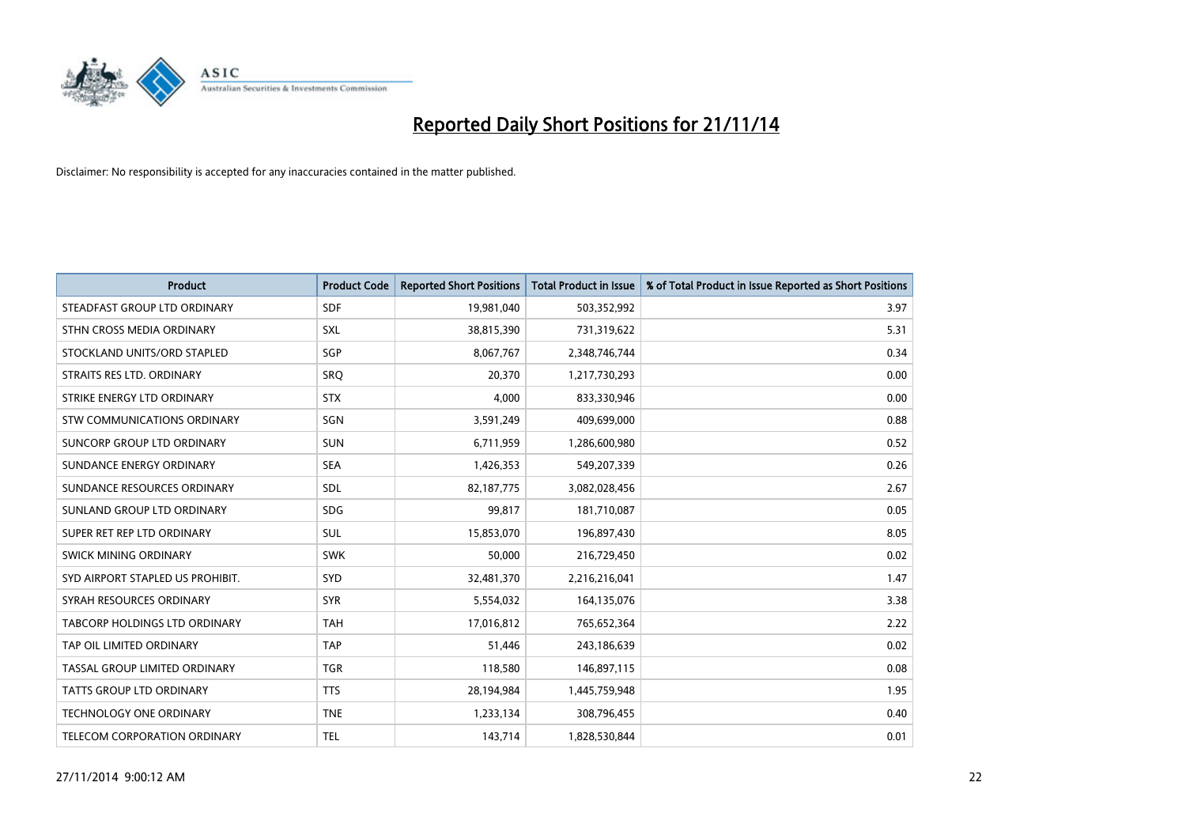

| <b>Product</b>                   | <b>Product Code</b> | <b>Reported Short Positions</b> | <b>Total Product in Issue</b> | % of Total Product in Issue Reported as Short Positions |
|----------------------------------|---------------------|---------------------------------|-------------------------------|---------------------------------------------------------|
| STEADFAST GROUP LTD ORDINARY     | <b>SDF</b>          | 19,981,040                      | 503,352,992                   | 3.97                                                    |
| STHN CROSS MEDIA ORDINARY        | <b>SXL</b>          | 38,815,390                      | 731,319,622                   | 5.31                                                    |
| STOCKLAND UNITS/ORD STAPLED      | SGP                 | 8,067,767                       | 2,348,746,744                 | 0.34                                                    |
| STRAITS RES LTD. ORDINARY        | <b>SRQ</b>          | 20,370                          | 1,217,730,293                 | 0.00                                                    |
| STRIKE ENERGY LTD ORDINARY       | <b>STX</b>          | 4,000                           | 833,330,946                   | 0.00                                                    |
| STW COMMUNICATIONS ORDINARY      | SGN                 | 3,591,249                       | 409,699,000                   | 0.88                                                    |
| SUNCORP GROUP LTD ORDINARY       | <b>SUN</b>          | 6,711,959                       | 1,286,600,980                 | 0.52                                                    |
| SUNDANCE ENERGY ORDINARY         | <b>SEA</b>          | 1,426,353                       | 549,207,339                   | 0.26                                                    |
| SUNDANCE RESOURCES ORDINARY      | SDL                 | 82,187,775                      | 3,082,028,456                 | 2.67                                                    |
| SUNLAND GROUP LTD ORDINARY       | <b>SDG</b>          | 99,817                          | 181,710,087                   | 0.05                                                    |
| SUPER RET REP LTD ORDINARY       | SUL                 | 15,853,070                      | 196,897,430                   | 8.05                                                    |
| SWICK MINING ORDINARY            | <b>SWK</b>          | 50,000                          | 216,729,450                   | 0.02                                                    |
| SYD AIRPORT STAPLED US PROHIBIT. | <b>SYD</b>          | 32,481,370                      | 2,216,216,041                 | 1.47                                                    |
| SYRAH RESOURCES ORDINARY         | <b>SYR</b>          | 5,554,032                       | 164,135,076                   | 3.38                                                    |
| TABCORP HOLDINGS LTD ORDINARY    | <b>TAH</b>          | 17,016,812                      | 765,652,364                   | 2.22                                                    |
| TAP OIL LIMITED ORDINARY         | <b>TAP</b>          | 51,446                          | 243,186,639                   | 0.02                                                    |
| TASSAL GROUP LIMITED ORDINARY    | <b>TGR</b>          | 118,580                         | 146,897,115                   | 0.08                                                    |
| <b>TATTS GROUP LTD ORDINARY</b>  | <b>TTS</b>          | 28,194,984                      | 1,445,759,948                 | 1.95                                                    |
| <b>TECHNOLOGY ONE ORDINARY</b>   | <b>TNE</b>          | 1,233,134                       | 308,796,455                   | 0.40                                                    |
| TELECOM CORPORATION ORDINARY     | <b>TEL</b>          | 143,714                         | 1,828,530,844                 | 0.01                                                    |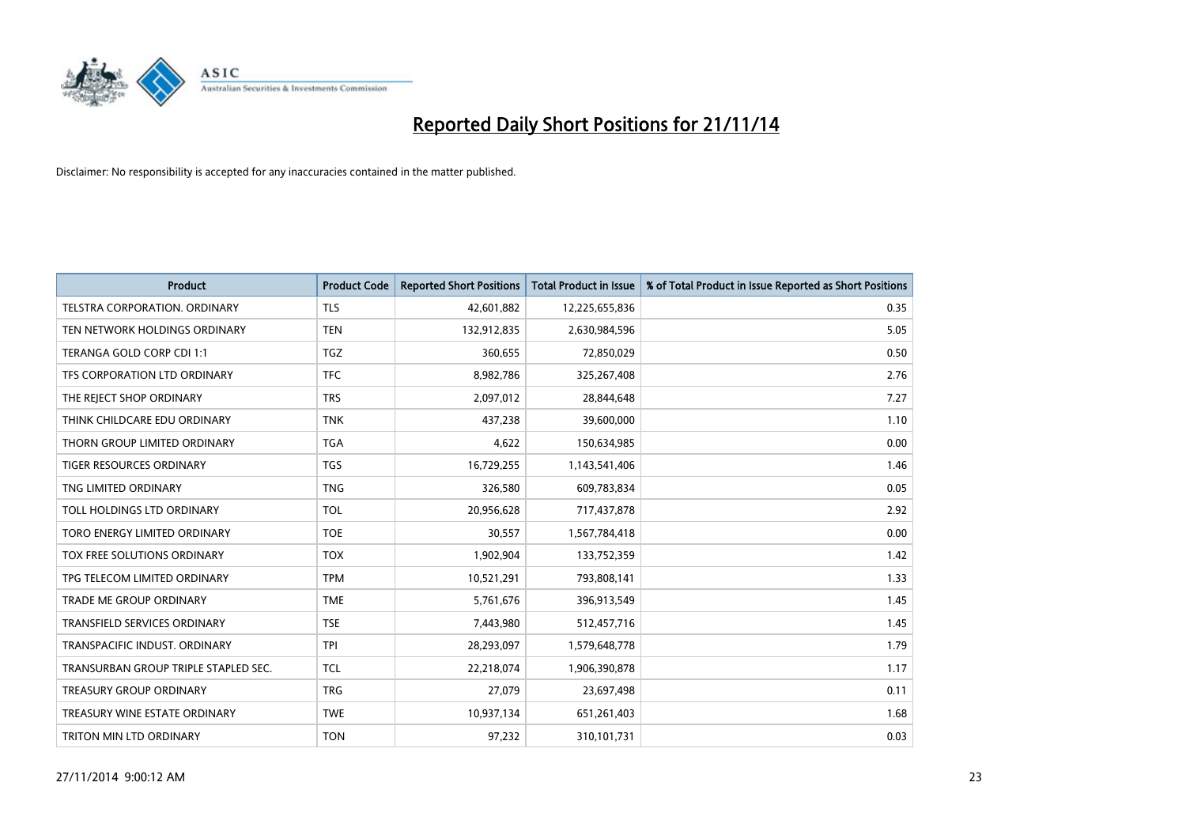

| <b>Product</b>                       | <b>Product Code</b> | <b>Reported Short Positions</b> | <b>Total Product in Issue</b> | % of Total Product in Issue Reported as Short Positions |
|--------------------------------------|---------------------|---------------------------------|-------------------------------|---------------------------------------------------------|
| TELSTRA CORPORATION, ORDINARY        | <b>TLS</b>          | 42,601,882                      | 12,225,655,836                | 0.35                                                    |
| TEN NETWORK HOLDINGS ORDINARY        | <b>TEN</b>          | 132,912,835                     | 2,630,984,596                 | 5.05                                                    |
| TERANGA GOLD CORP CDI 1:1            | <b>TGZ</b>          | 360,655                         | 72,850,029                    | 0.50                                                    |
| TFS CORPORATION LTD ORDINARY         | <b>TFC</b>          | 8,982,786                       | 325,267,408                   | 2.76                                                    |
| THE REJECT SHOP ORDINARY             | <b>TRS</b>          | 2,097,012                       | 28,844,648                    | 7.27                                                    |
| THINK CHILDCARE EDU ORDINARY         | <b>TNK</b>          | 437,238                         | 39,600,000                    | 1.10                                                    |
| THORN GROUP LIMITED ORDINARY         | <b>TGA</b>          | 4,622                           | 150,634,985                   | 0.00                                                    |
| <b>TIGER RESOURCES ORDINARY</b>      | <b>TGS</b>          | 16,729,255                      | 1,143,541,406                 | 1.46                                                    |
| TNG LIMITED ORDINARY                 | <b>TNG</b>          | 326,580                         | 609,783,834                   | 0.05                                                    |
| TOLL HOLDINGS LTD ORDINARY           | <b>TOL</b>          | 20,956,628                      | 717,437,878                   | 2.92                                                    |
| TORO ENERGY LIMITED ORDINARY         | <b>TOE</b>          | 30,557                          | 1,567,784,418                 | 0.00                                                    |
| TOX FREE SOLUTIONS ORDINARY          | <b>TOX</b>          | 1,902,904                       | 133,752,359                   | 1.42                                                    |
| TPG TELECOM LIMITED ORDINARY         | <b>TPM</b>          | 10,521,291                      | 793,808,141                   | 1.33                                                    |
| <b>TRADE ME GROUP ORDINARY</b>       | <b>TME</b>          | 5,761,676                       | 396,913,549                   | 1.45                                                    |
| TRANSFIELD SERVICES ORDINARY         | <b>TSE</b>          | 7,443,980                       | 512,457,716                   | 1.45                                                    |
| TRANSPACIFIC INDUST, ORDINARY        | <b>TPI</b>          | 28,293,097                      | 1,579,648,778                 | 1.79                                                    |
| TRANSURBAN GROUP TRIPLE STAPLED SEC. | <b>TCL</b>          | 22,218,074                      | 1,906,390,878                 | 1.17                                                    |
| TREASURY GROUP ORDINARY              | <b>TRG</b>          | 27,079                          | 23,697,498                    | 0.11                                                    |
| TREASURY WINE ESTATE ORDINARY        | <b>TWE</b>          | 10,937,134                      | 651,261,403                   | 1.68                                                    |
| TRITON MIN LTD ORDINARY              | <b>TON</b>          | 97,232                          | 310,101,731                   | 0.03                                                    |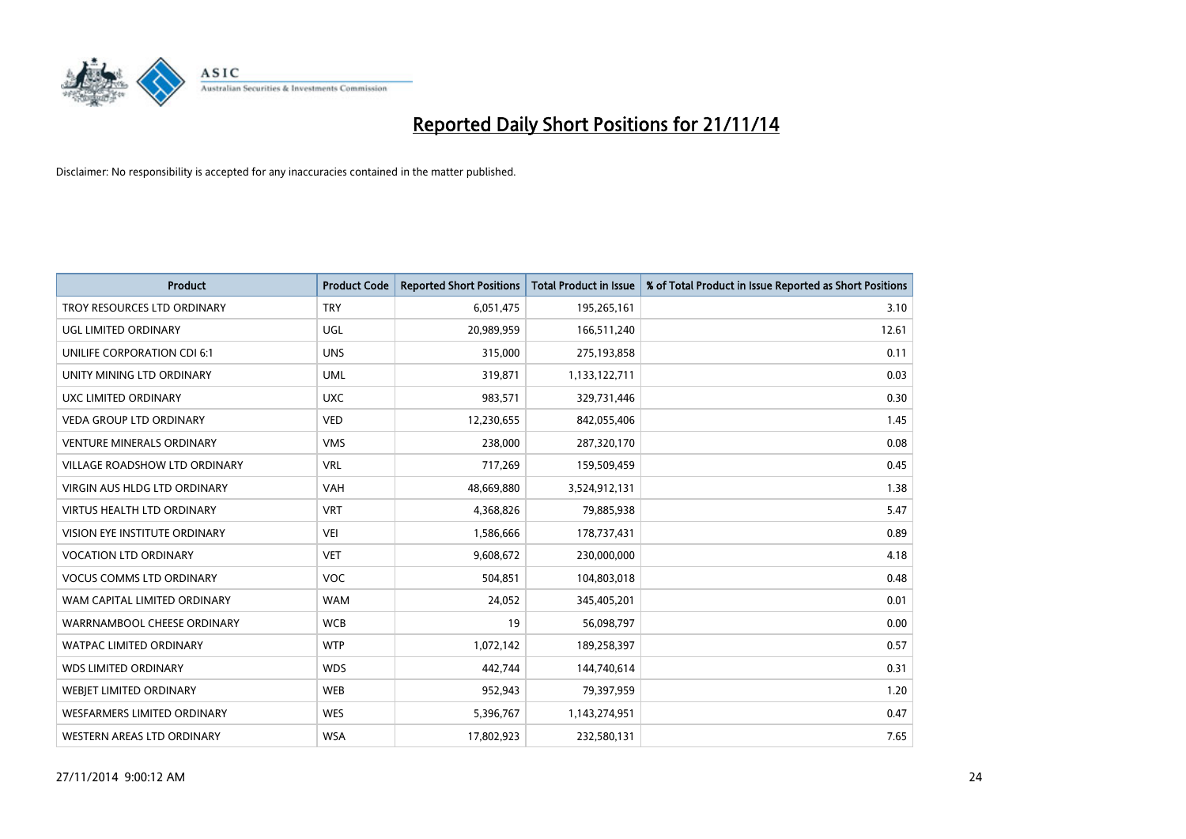

| <b>Product</b>                     | <b>Product Code</b> | <b>Reported Short Positions</b> | <b>Total Product in Issue</b> | % of Total Product in Issue Reported as Short Positions |
|------------------------------------|---------------------|---------------------------------|-------------------------------|---------------------------------------------------------|
| TROY RESOURCES LTD ORDINARY        | <b>TRY</b>          | 6,051,475                       | 195,265,161                   | 3.10                                                    |
| UGL LIMITED ORDINARY               | <b>UGL</b>          | 20,989,959                      | 166,511,240                   | 12.61                                                   |
| UNILIFE CORPORATION CDI 6:1        | <b>UNS</b>          | 315,000                         | 275,193,858                   | 0.11                                                    |
| UNITY MINING LTD ORDINARY          | <b>UML</b>          | 319,871                         | 1,133,122,711                 | 0.03                                                    |
| <b>UXC LIMITED ORDINARY</b>        | <b>UXC</b>          | 983,571                         | 329,731,446                   | 0.30                                                    |
| <b>VEDA GROUP LTD ORDINARY</b>     | <b>VED</b>          | 12,230,655                      | 842,055,406                   | 1.45                                                    |
| <b>VENTURE MINERALS ORDINARY</b>   | <b>VMS</b>          | 238,000                         | 287,320,170                   | 0.08                                                    |
| VILLAGE ROADSHOW LTD ORDINARY      | <b>VRL</b>          | 717,269                         | 159,509,459                   | 0.45                                                    |
| VIRGIN AUS HLDG LTD ORDINARY       | <b>VAH</b>          | 48,669,880                      | 3,524,912,131                 | 1.38                                                    |
| <b>VIRTUS HEALTH LTD ORDINARY</b>  | <b>VRT</b>          | 4,368,826                       | 79,885,938                    | 5.47                                                    |
| VISION EYE INSTITUTE ORDINARY      | <b>VEI</b>          | 1,586,666                       | 178,737,431                   | 0.89                                                    |
| <b>VOCATION LTD ORDINARY</b>       | <b>VET</b>          | 9,608,672                       | 230,000,000                   | 4.18                                                    |
| <b>VOCUS COMMS LTD ORDINARY</b>    | <b>VOC</b>          | 504,851                         | 104,803,018                   | 0.48                                                    |
| WAM CAPITAL LIMITED ORDINARY       | <b>WAM</b>          | 24,052                          | 345,405,201                   | 0.01                                                    |
| WARRNAMBOOL CHEESE ORDINARY        | <b>WCB</b>          | 19                              | 56,098,797                    | 0.00                                                    |
| <b>WATPAC LIMITED ORDINARY</b>     | <b>WTP</b>          | 1,072,142                       | 189,258,397                   | 0.57                                                    |
| <b>WDS LIMITED ORDINARY</b>        | <b>WDS</b>          | 442,744                         | 144,740,614                   | 0.31                                                    |
| <b>WEBJET LIMITED ORDINARY</b>     | <b>WEB</b>          | 952,943                         | 79,397,959                    | 1.20                                                    |
| <b>WESFARMERS LIMITED ORDINARY</b> | <b>WES</b>          | 5,396,767                       | 1,143,274,951                 | 0.47                                                    |
| WESTERN AREAS LTD ORDINARY         | <b>WSA</b>          | 17,802,923                      | 232,580,131                   | 7.65                                                    |